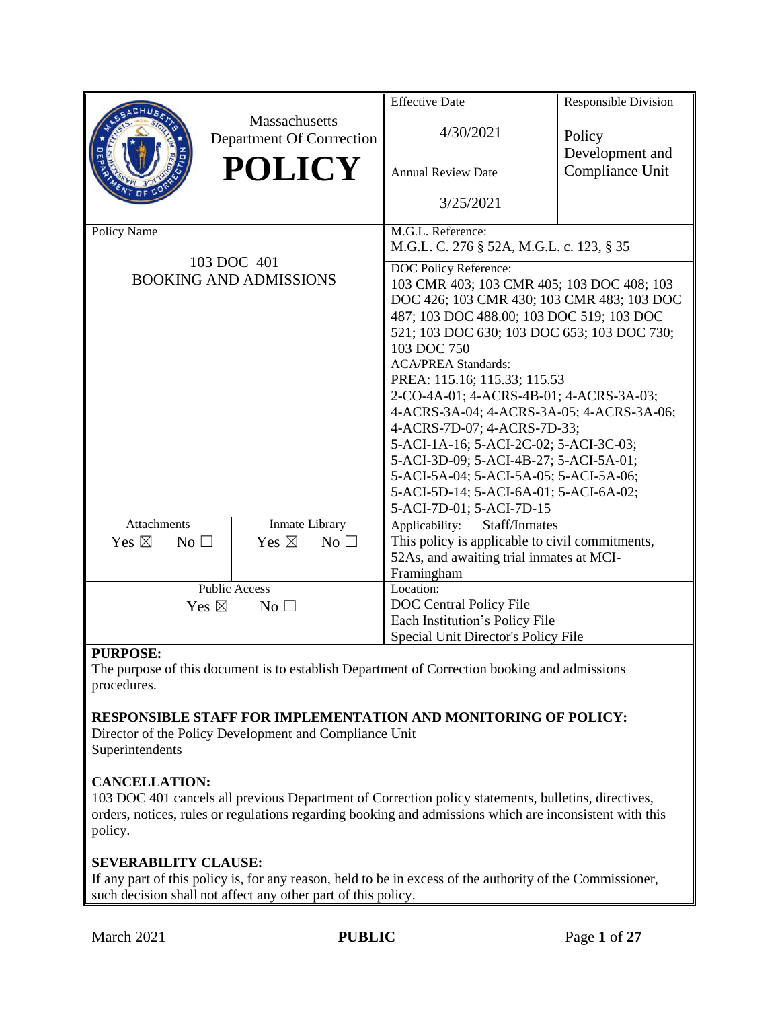|                                                             |                                                             | <b>Effective Date</b>                                                                                                                                                                                                                                                                                                                                                                                                                                                                                                                                                                                                 | <b>Responsible Division</b>                  |
|-------------------------------------------------------------|-------------------------------------------------------------|-----------------------------------------------------------------------------------------------------------------------------------------------------------------------------------------------------------------------------------------------------------------------------------------------------------------------------------------------------------------------------------------------------------------------------------------------------------------------------------------------------------------------------------------------------------------------------------------------------------------------|----------------------------------------------|
|                                                             | Massachusetts<br>Department Of Corrrection<br><b>POLICY</b> | 4/30/2021<br><b>Annual Review Date</b>                                                                                                                                                                                                                                                                                                                                                                                                                                                                                                                                                                                | Policy<br>Development and<br>Compliance Unit |
|                                                             |                                                             | 3/25/2021                                                                                                                                                                                                                                                                                                                                                                                                                                                                                                                                                                                                             |                                              |
| Policy Name<br>103 DOC 401<br><b>BOOKING AND ADMISSIONS</b> |                                                             | M.G.L. Reference:<br>M.G.L. C. 276 § 52A, M.G.L. c. 123, § 35                                                                                                                                                                                                                                                                                                                                                                                                                                                                                                                                                         |                                              |
|                                                             |                                                             | DOC Policy Reference:<br>103 CMR 403; 103 CMR 405; 103 DOC 408; 103<br>DOC 426; 103 CMR 430; 103 CMR 483; 103 DOC<br>487; 103 DOC 488.00; 103 DOC 519; 103 DOC<br>521; 103 DOC 630; 103 DOC 653; 103 DOC 730;<br>103 DOC 750<br><b>ACA/PREA Standards:</b><br>PREA: 115.16; 115.33; 115.53<br>2-CO-4A-01; 4-ACRS-4B-01; 4-ACRS-3A-03;<br>4-ACRS-3A-04; 4-ACRS-3A-05; 4-ACRS-3A-06;<br>4-ACRS-7D-07; 4-ACRS-7D-33;<br>5-ACI-1A-16; 5-ACI-2C-02; 5-ACI-3C-03;<br>5-ACI-3D-09; 5-ACI-4B-27; 5-ACI-5A-01;<br>5-ACI-5A-04; 5-ACI-5A-05; 5-ACI-5A-06;<br>5-ACI-5D-14; 5-ACI-6A-01; 5-ACI-6A-02;<br>5-ACI-7D-01; 5-ACI-7D-15 |                                              |
| <b>Attachments</b>                                          | Inmate Library                                              | Applicability:<br>Staff/Inmates                                                                                                                                                                                                                                                                                                                                                                                                                                                                                                                                                                                       |                                              |
| Yes $\boxtimes$<br>No <sub>1</sub>                          | Yes $\boxtimes$<br>No $\square$                             | This policy is applicable to civil commitments,<br>52As, and awaiting trial inmates at MCI-<br>Framingham                                                                                                                                                                                                                                                                                                                                                                                                                                                                                                             |                                              |
|                                                             | <b>Public Access</b>                                        | Location:                                                                                                                                                                                                                                                                                                                                                                                                                                                                                                                                                                                                             |                                              |
| Yes $\boxtimes$<br>No                                       |                                                             | DOC Central Policy File                                                                                                                                                                                                                                                                                                                                                                                                                                                                                                                                                                                               |                                              |
|                                                             |                                                             | Each Institution's Policy File                                                                                                                                                                                                                                                                                                                                                                                                                                                                                                                                                                                        |                                              |
|                                                             |                                                             | Special Unit Director's Policy File                                                                                                                                                                                                                                                                                                                                                                                                                                                                                                                                                                                   |                                              |

#### **PURPOSE:**

The purpose of this document is to establish Department of Correction booking and admissions procedures.

#### **RESPONSIBLE STAFF FOR IMPLEMENTATION AND MONITORING OF POLICY:**

Director of the Policy Development and Compliance Unit Superintendents

#### **CANCELLATION:**

103 DOC 401 cancels all previous Department of Correction policy statements, bulletins, directives, orders, notices, rules or regulations regarding booking and admissions which are inconsistent with this policy.

#### **SEVERABILITY CLAUSE:**

If any part of this policy is, for any reason, held to be in excess of the authority of the Commissioner, such decision shall not affect any other part of this policy.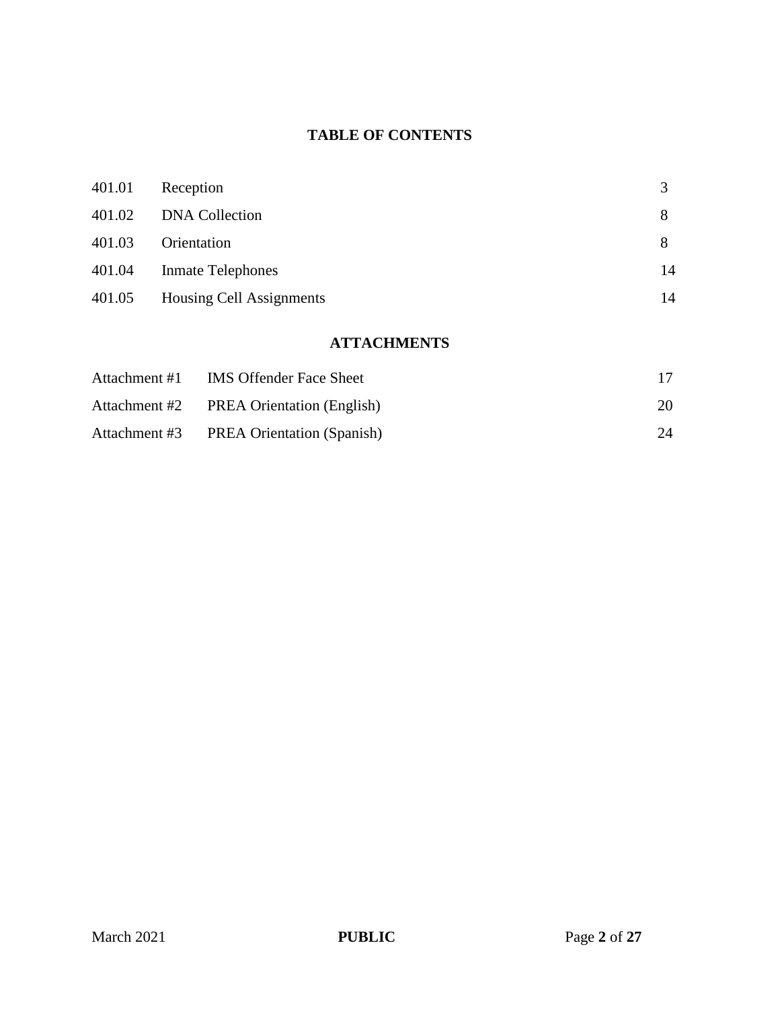## **TABLE OF CONTENTS**

| 401.01 | Reception                |    |
|--------|--------------------------|----|
| 401.02 | <b>DNA Collection</b>    | 8  |
| 401.03 | Orientation              | 8  |
| 401.04 | <b>Inmate Telephones</b> | 14 |
| 401.05 | Housing Cell Assignments | 14 |

# **ATTACHMENTS**

| Attachment #1 | <b>IMS Offender Face Sheet</b>           |    |
|---------------|------------------------------------------|----|
|               | Attachment #2 PREA Orientation (English) | 20 |
|               | Attachment #3 PREA Orientation (Spanish) | 24 |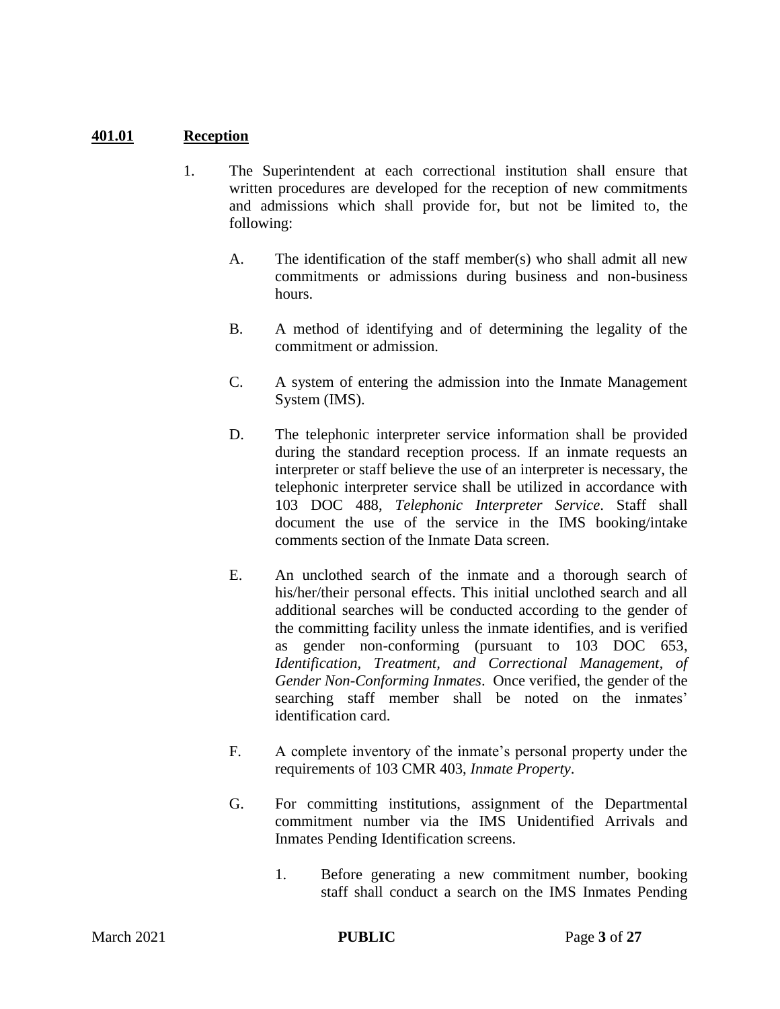## **401.01 Reception**

- 1. The Superintendent at each correctional institution shall ensure that written procedures are developed for the reception of new commitments and admissions which shall provide for, but not be limited to, the following:
	- A. The identification of the staff member(s) who shall admit all new commitments or admissions during business and non-business hours.
	- B. A method of identifying and of determining the legality of the commitment or admission.
	- C. A system of entering the admission into the Inmate Management System (IMS).
	- D. The telephonic interpreter service information shall be provided during the standard reception process. If an inmate requests an interpreter or staff believe the use of an interpreter is necessary, the telephonic interpreter service shall be utilized in accordance with 103 DOC 488, *Telephonic Interpreter Service*. Staff shall document the use of the service in the IMS booking/intake comments section of the Inmate Data screen.
	- E. An unclothed search of the inmate and a thorough search of his/her/their personal effects. This initial unclothed search and all additional searches will be conducted according to the gender of the committing facility unless the inmate identifies, and is verified as gender non-conforming (pursuant to 103 DOC 653, *Identification, Treatment, and Correctional Management, of Gender Non-Conforming Inmates*. Once verified, the gender of the searching staff member shall be noted on the inmates' identification card.
	- F. A complete inventory of the inmate's personal property under the requirements of 103 CMR 403, *Inmate Property*.
	- G. For committing institutions, assignment of the Departmental commitment number via the IMS Unidentified Arrivals and Inmates Pending Identification screens.
		- 1. Before generating a new commitment number, booking staff shall conduct a search on the IMS Inmates Pending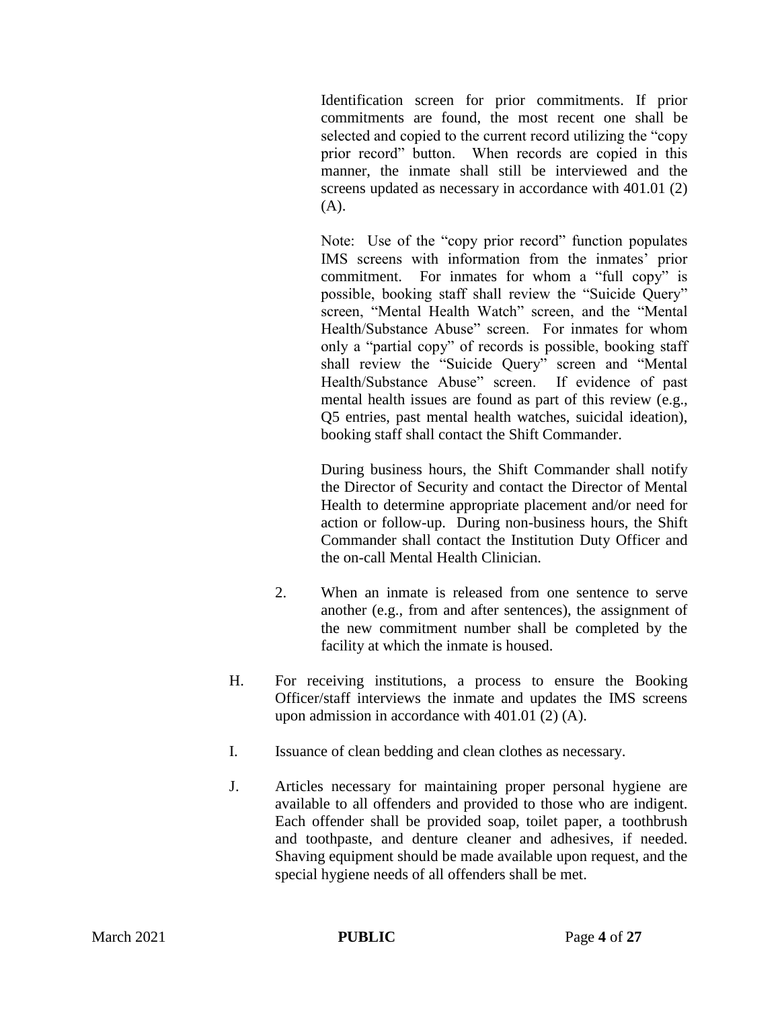Identification screen for prior commitments. If prior commitments are found, the most recent one shall be selected and copied to the current record utilizing the "copy prior record" button. When records are copied in this manner, the inmate shall still be interviewed and the screens updated as necessary in accordance with 401.01 (2)  $(A)$ .

Note: Use of the "copy prior record" function populates IMS screens with information from the inmates' prior commitment. For inmates for whom a "full copy" is possible, booking staff shall review the "Suicide Query" screen, "Mental Health Watch" screen, and the "Mental Health/Substance Abuse" screen. For inmates for whom only a "partial copy" of records is possible, booking staff shall review the "Suicide Query" screen and "Mental Health/Substance Abuse" screen. If evidence of past mental health issues are found as part of this review (e.g., Q5 entries, past mental health watches, suicidal ideation), booking staff shall contact the Shift Commander.

During business hours, the Shift Commander shall notify the Director of Security and contact the Director of Mental Health to determine appropriate placement and/or need for action or follow-up. During non-business hours, the Shift Commander shall contact the Institution Duty Officer and the on-call Mental Health Clinician.

- 2. When an inmate is released from one sentence to serve another (e.g., from and after sentences), the assignment of the new commitment number shall be completed by the facility at which the inmate is housed.
- H. For receiving institutions, a process to ensure the Booking Officer/staff interviews the inmate and updates the IMS screens upon admission in accordance with 401.01 (2) (A).
- I. Issuance of clean bedding and clean clothes as necessary.
- J. Articles necessary for maintaining proper personal hygiene are available to all offenders and provided to those who are indigent. Each offender shall be provided soap, toilet paper, a toothbrush and toothpaste, and denture cleaner and adhesives, if needed. Shaving equipment should be made available upon request, and the special hygiene needs of all offenders shall be met.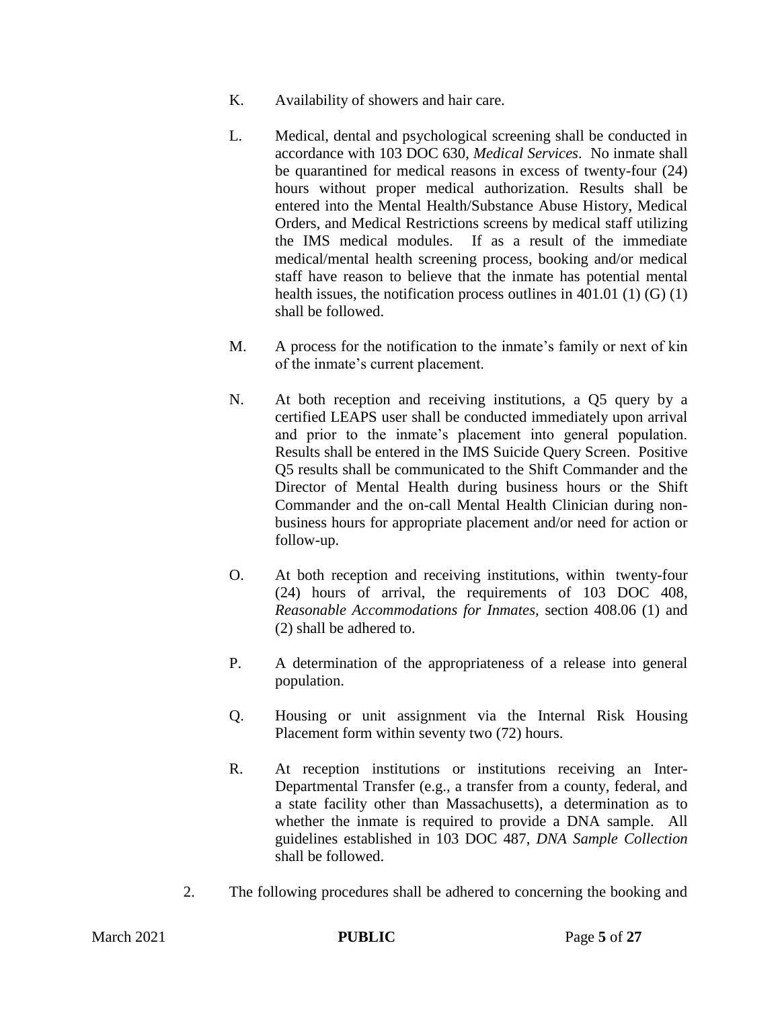- K. Availability of showers and hair care.
- L. Medical, dental and psychological screening shall be conducted in accordance with 103 DOC 630, *Medical Services*. No inmate shall be quarantined for medical reasons in excess of twenty-four (24) hours without proper medical authorization. Results shall be entered into the Mental Health/Substance Abuse History, Medical Orders, and Medical Restrictions screens by medical staff utilizing the IMS medical modules. If as a result of the immediate medical/mental health screening process, booking and/or medical staff have reason to believe that the inmate has potential mental health issues, the notification process outlines in  $401.01$  (1) (G) (1) shall be followed.
- M. A process for the notification to the inmate's family or next of kin of the inmate's current placement.
- N. At both reception and receiving institutions, a Q5 query by a certified LEAPS user shall be conducted immediately upon arrival and prior to the inmate's placement into general population. Results shall be entered in the IMS Suicide Query Screen. Positive Q5 results shall be communicated to the Shift Commander and the Director of Mental Health during business hours or the Shift Commander and the on-call Mental Health Clinician during nonbusiness hours for appropriate placement and/or need for action or follow-up.
- O. At both reception and receiving institutions, within twenty-four (24) hours of arrival, the requirements of 103 DOC 408*, Reasonable Accommodations for Inmates,* section 408.06 (1) and (2) shall be adhered to.
- P. A determination of the appropriateness of a release into general population.
- Q. Housing or unit assignment via the Internal Risk Housing Placement form within seventy two (72) hours.
- R. At reception institutions or institutions receiving an Inter-Departmental Transfer (e.g., a transfer from a county, federal, and a state facility other than Massachusetts), a determination as to whether the inmate is required to provide a DNA sample. All guidelines established in 103 DOC 487, *DNA Sample Collection* shall be followed.
- 2. The following procedures shall be adhered to concerning the booking and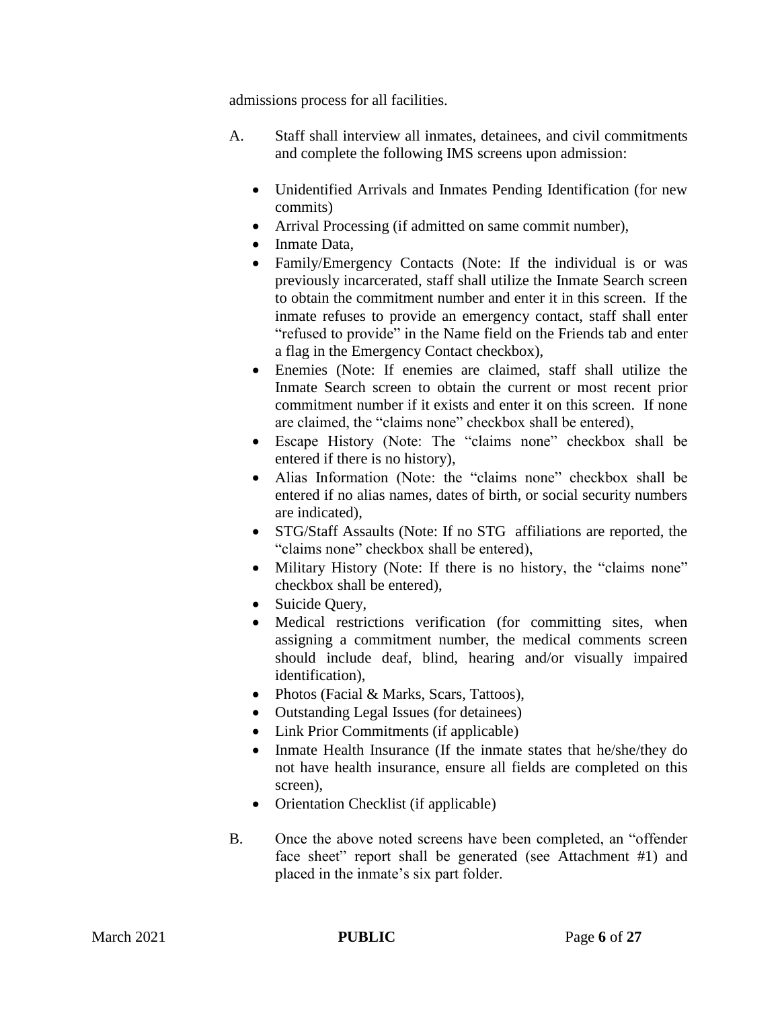admissions process for all facilities.

- A. Staff shall interview all inmates, detainees, and civil commitments and complete the following IMS screens upon admission:
	- Unidentified Arrivals and Inmates Pending Identification (for new commits)
	- Arrival Processing (if admitted on same commit number),
	- Inmate Data,
	- Family/Emergency Contacts (Note: If the individual is or was previously incarcerated, staff shall utilize the Inmate Search screen to obtain the commitment number and enter it in this screen. If the inmate refuses to provide an emergency contact, staff shall enter "refused to provide" in the Name field on the Friends tab and enter a flag in the Emergency Contact checkbox),
	- Enemies (Note: If enemies are claimed, staff shall utilize the Inmate Search screen to obtain the current or most recent prior commitment number if it exists and enter it on this screen. If none are claimed, the "claims none" checkbox shall be entered),
	- Escape History (Note: The "claims none" checkbox shall be entered if there is no history),
	- Alias Information (Note: the "claims none" checkbox shall be entered if no alias names, dates of birth, or social security numbers are indicated),
	- STG/Staff Assaults (Note: If no STG affiliations are reported, the "claims none" checkbox shall be entered),
	- Military History (Note: If there is no history, the "claims none" checkbox shall be entered),
	- Suicide Query,
	- Medical restrictions verification (for committing sites, when assigning a commitment number, the medical comments screen should include deaf, blind, hearing and/or visually impaired identification),
	- Photos (Facial & Marks, Scars, Tattoos),
	- Outstanding Legal Issues (for detainees)
	- Link Prior Commitments (if applicable)
	- Inmate Health Insurance (If the inmate states that he/she/they do not have health insurance, ensure all fields are completed on this screen),
	- Orientation Checklist (if applicable)
- B. Once the above noted screens have been completed, an "offender face sheet" report shall be generated (see Attachment #1) and placed in the inmate's six part folder.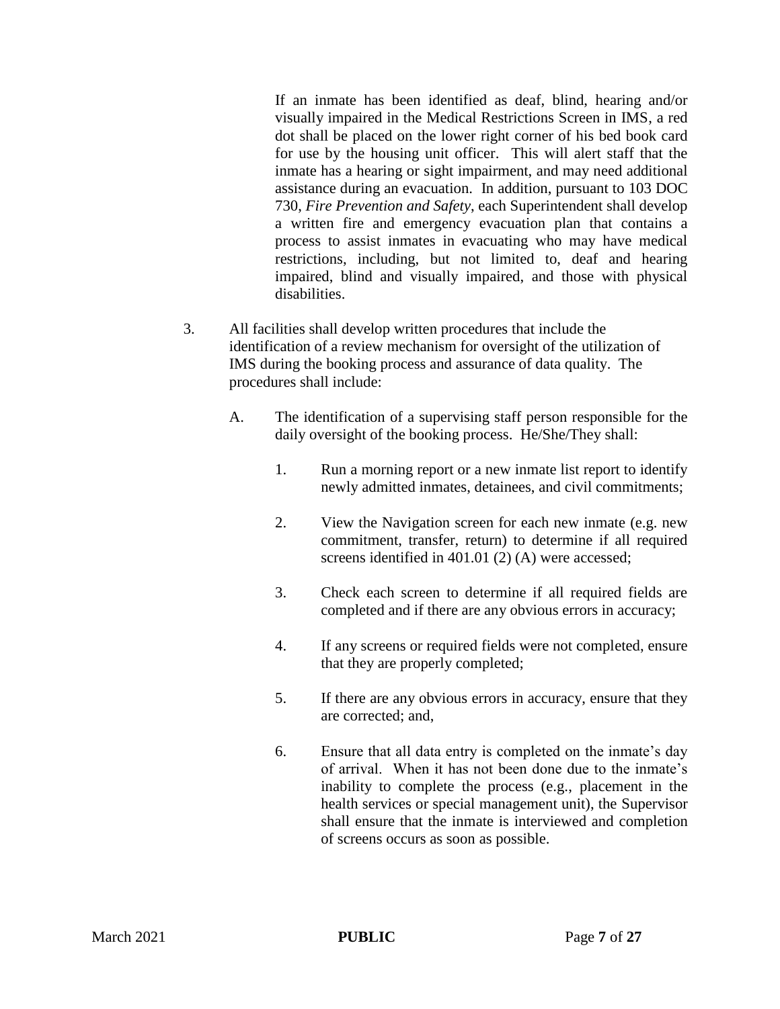If an inmate has been identified as deaf, blind, hearing and/or visually impaired in the Medical Restrictions Screen in IMS, a red dot shall be placed on the lower right corner of his bed book card for use by the housing unit officer. This will alert staff that the inmate has a hearing or sight impairment, and may need additional assistance during an evacuation. In addition, pursuant to 103 DOC 730, *Fire Prevention and Safety*, each Superintendent shall develop a written fire and emergency evacuation plan that contains a process to assist inmates in evacuating who may have medical restrictions, including, but not limited to, deaf and hearing impaired, blind and visually impaired, and those with physical disabilities.

- 3. All facilities shall develop written procedures that include the identification of a review mechanism for oversight of the utilization of IMS during the booking process and assurance of data quality. The procedures shall include:
	- A. The identification of a supervising staff person responsible for the daily oversight of the booking process. He/She/They shall:
		- 1. Run a morning report or a new inmate list report to identify newly admitted inmates, detainees, and civil commitments;
		- 2. View the Navigation screen for each new inmate (e.g. new commitment, transfer, return) to determine if all required screens identified in 401.01 (2) (A) were accessed;
		- 3. Check each screen to determine if all required fields are completed and if there are any obvious errors in accuracy;
		- 4. If any screens or required fields were not completed, ensure that they are properly completed;
		- 5. If there are any obvious errors in accuracy, ensure that they are corrected; and,
		- 6. Ensure that all data entry is completed on the inmate's day of arrival. When it has not been done due to the inmate's inability to complete the process (e.g., placement in the health services or special management unit), the Supervisor shall ensure that the inmate is interviewed and completion of screens occurs as soon as possible.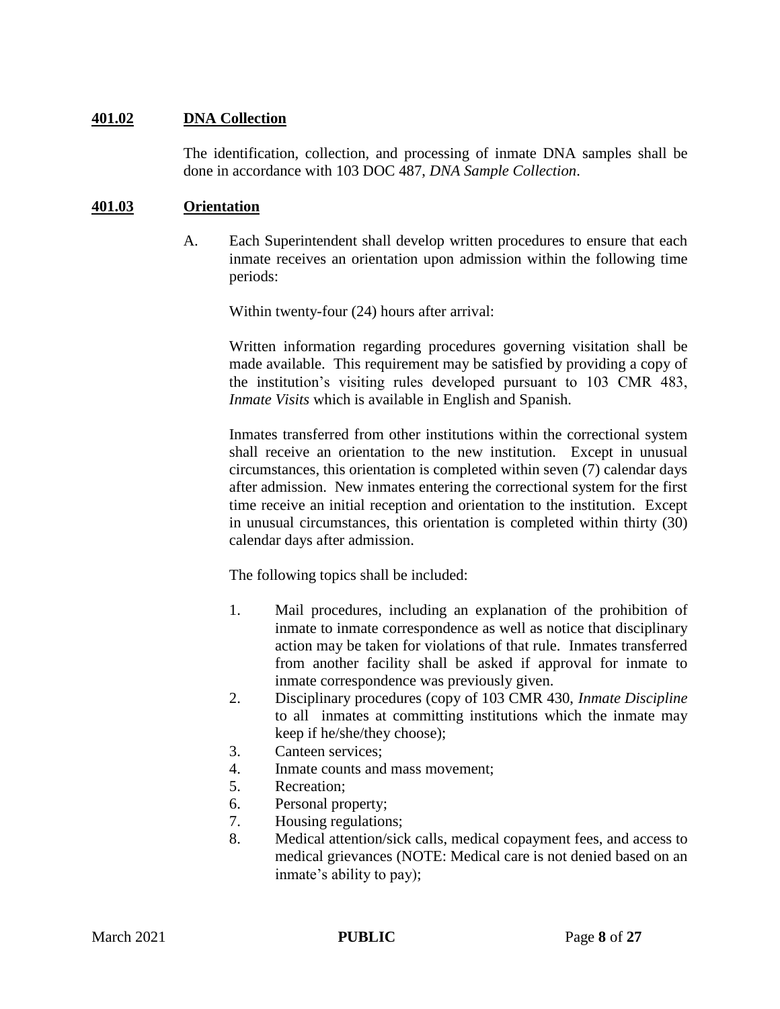## **401.02 DNA Collection**

The identification, collection, and processing of inmate DNA samples shall be done in accordance with 103 DOC 487, *DNA Sample Collection*.

#### **401.03 Orientation**

A. Each Superintendent shall develop written procedures to ensure that each inmate receives an orientation upon admission within the following time periods:

Within twenty-four (24) hours after arrival:

Written information regarding procedures governing visitation shall be made available. This requirement may be satisfied by providing a copy of the institution's visiting rules developed pursuant to 103 CMR 483, *Inmate Visits* which is available in English and Spanish.

Inmates transferred from other institutions within the correctional system shall receive an orientation to the new institution. Except in unusual circumstances, this orientation is completed within seven (7) calendar days after admission. New inmates entering the correctional system for the first time receive an initial reception and orientation to the institution. Except in unusual circumstances, this orientation is completed within thirty (30) calendar days after admission.

The following topics shall be included:

- 1. Mail procedures, including an explanation of the prohibition of inmate to inmate correspondence as well as notice that disciplinary action may be taken for violations of that rule. Inmates transferred from another facility shall be asked if approval for inmate to inmate correspondence was previously given.
- 2. Disciplinary procedures (copy of 103 CMR 430, *Inmate Discipline* to all inmates at committing institutions which the inmate may keep if he/she/they choose);
- 3. Canteen services;
- 4. Inmate counts and mass movement;
- 5. Recreation;
- 6. Personal property;
- 7. Housing regulations;
- 8. Medical attention/sick calls, medical copayment fees, and access to medical grievances (NOTE: Medical care is not denied based on an inmate's ability to pay);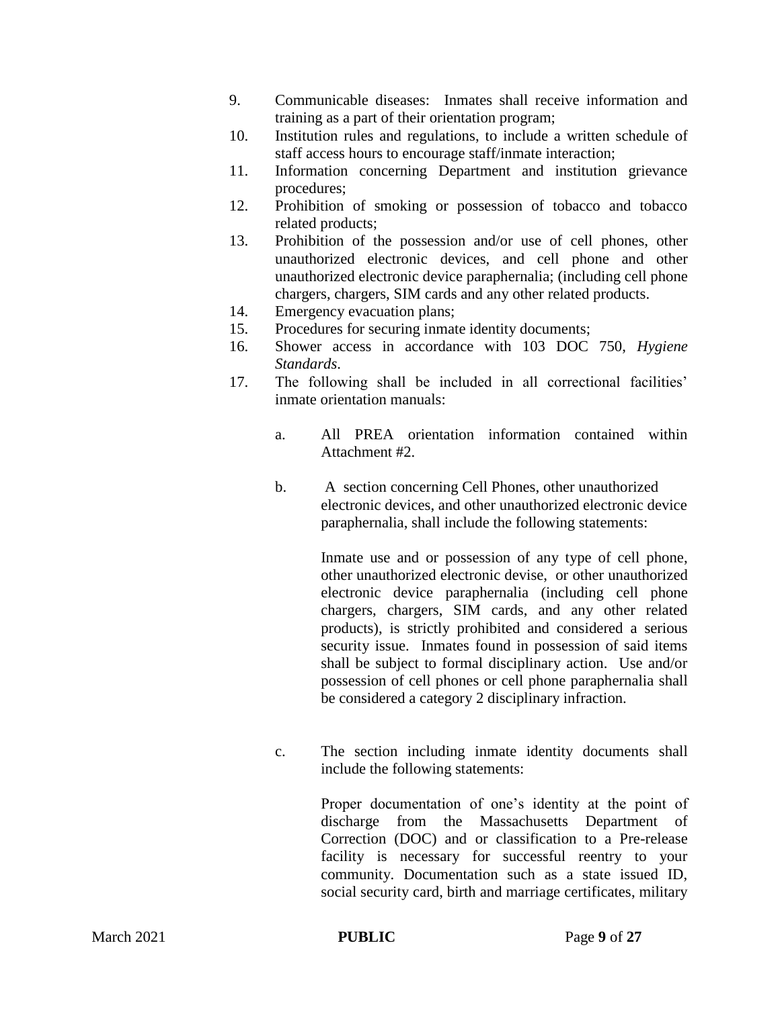- 9. Communicable diseases: Inmates shall receive information and training as a part of their orientation program;
- 10. Institution rules and regulations, to include a written schedule of staff access hours to encourage staff/inmate interaction;
- 11. Information concerning Department and institution grievance procedures;
- 12. Prohibition of smoking or possession of tobacco and tobacco related products;
- 13. Prohibition of the possession and/or use of cell phones, other unauthorized electronic devices, and cell phone and other unauthorized electronic device paraphernalia; (including cell phone chargers, chargers, SIM cards and any other related products.
- 14. Emergency evacuation plans;
- 15. Procedures for securing inmate identity documents;
- 16. Shower access in accordance with 103 DOC 750, *Hygiene Standards*.
- 17. The following shall be included in all correctional facilities' inmate orientation manuals:
	- a. All PREA orientation information contained within Attachment #2.
	- b. A section concerning Cell Phones, other unauthorized electronic devices, and other unauthorized electronic device paraphernalia, shall include the following statements:

Inmate use and or possession of any type of cell phone, other unauthorized electronic devise, or other unauthorized electronic device paraphernalia (including cell phone chargers, chargers, SIM cards, and any other related products), is strictly prohibited and considered a serious security issue. Inmates found in possession of said items shall be subject to formal disciplinary action. Use and/or possession of cell phones or cell phone paraphernalia shall be considered a category 2 disciplinary infraction.

c. The section including inmate identity documents shall include the following statements:

> Proper documentation of one's identity at the point of discharge from the Massachusetts Department of Correction (DOC) and or classification to a Pre-release facility is necessary for successful reentry to your community. Documentation such as a state issued ID, social security card, birth and marriage certificates, military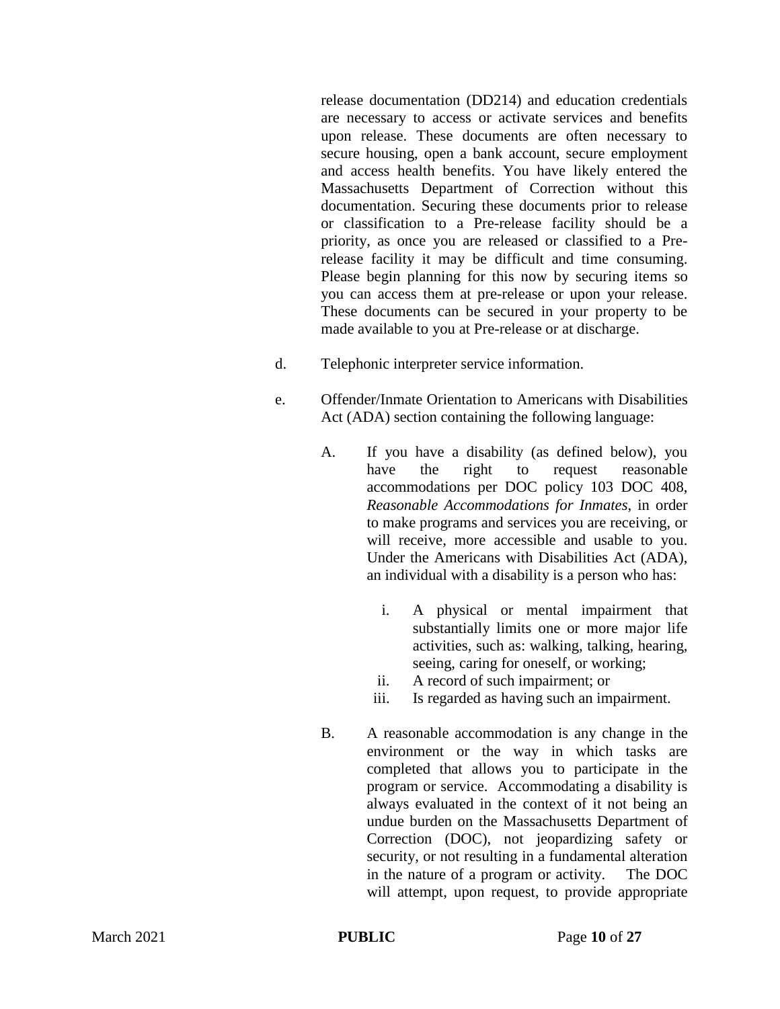release documentation (DD214) and education credentials are necessary to access or activate services and benefits upon release. These documents are often necessary to secure housing, open a bank account, secure employment and access health benefits. You have likely entered the Massachusetts Department of Correction without this documentation. Securing these documents prior to release or classification to a Pre-release facility should be a priority, as once you are released or classified to a Prerelease facility it may be difficult and time consuming. Please begin planning for this now by securing items so you can access them at pre-release or upon your release. These documents can be secured in your property to be made available to you at Pre-release or at discharge.

- d. Telephonic interpreter service information.
- e. Offender/Inmate Orientation to Americans with Disabilities Act (ADA) section containing the following language:
	- A. If you have a disability (as defined below), you have the right to request reasonable accommodations per DOC policy 103 DOC 408, *Reasonable Accommodations for Inmates*, in order to make programs and services you are receiving, or will receive, more accessible and usable to you. Under the Americans with Disabilities Act (ADA), an individual with a disability is a person who has:
		- i. A physical or mental impairment that substantially limits one or more major life activities, such as: walking, talking, hearing, seeing, caring for oneself, or working;
		- ii. A record of such impairment; or
		- iii. Is regarded as having such an impairment.
	- B. A reasonable accommodation is any change in the environment or the way in which tasks are completed that allows you to participate in the program or service. Accommodating a disability is always evaluated in the context of it not being an undue burden on the Massachusetts Department of Correction (DOC), not jeopardizing safety or security, or not resulting in a fundamental alteration in the nature of a program or activity. The DOC will attempt, upon request, to provide appropriate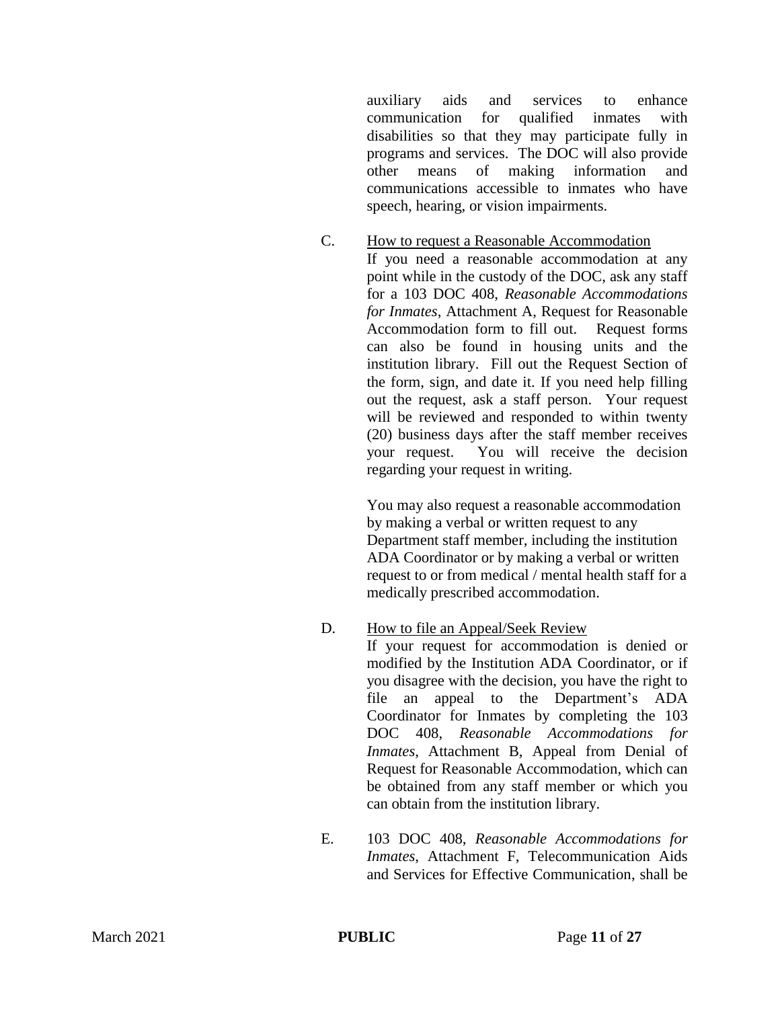auxiliary aids and services to enhance communication for qualified inmates with disabilities so that they may participate fully in programs and services. The DOC will also provide other means of making information and communications accessible to inmates who have speech, hearing, or vision impairments.

C. How to request a Reasonable Accommodation If you need a reasonable accommodation at any point while in the custody of the DOC, ask any staff for a 103 DOC 408, *Reasonable Accommodations for Inmates*, Attachment A, Request for Reasonable Accommodation form to fill out. Request forms can also be found in housing units and the institution library. Fill out the Request Section of the form, sign, and date it. If you need help filling out the request, ask a staff person. Your request will be reviewed and responded to within twenty (20) business days after the staff member receives your request. You will receive the decision regarding your request in writing.

> You may also request a reasonable accommodation by making a verbal or written request to any Department staff member, including the institution ADA Coordinator or by making a verbal or written request to or from medical / mental health staff for a medically prescribed accommodation.

D. How to file an Appeal/Seek Review

If your request for accommodation is denied or modified by the Institution ADA Coordinator, or if you disagree with the decision, you have the right to file an appeal to the Department's ADA Coordinator for Inmates by completing the 103 DOC 408, *Reasonable Accommodations for Inmates*, Attachment B, Appeal from Denial of Request for Reasonable Accommodation, which can be obtained from any staff member or which you can obtain from the institution library.

E. 103 DOC 408, *Reasonable Accommodations for Inmates*, Attachment F, Telecommunication Aids and Services for Effective Communication, shall be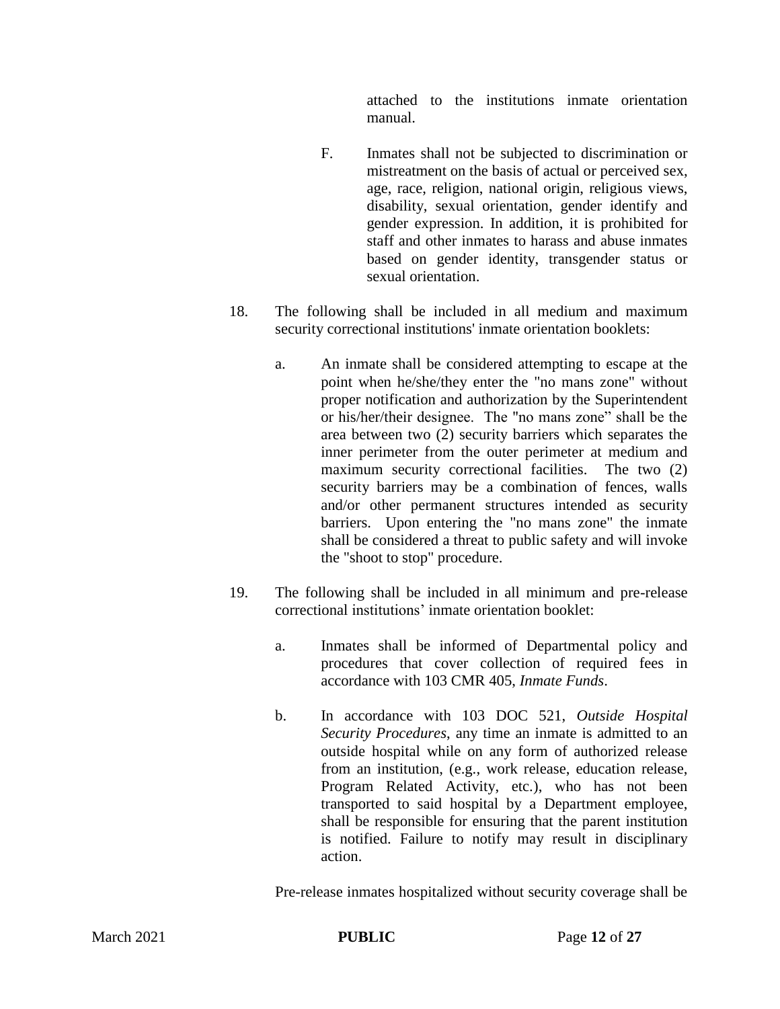attached to the institutions inmate orientation manual.

- F. Inmates shall not be subjected to discrimination or mistreatment on the basis of actual or perceived sex, age, race, religion, national origin, religious views, disability, sexual orientation, gender identify and gender expression. In addition, it is prohibited for staff and other inmates to harass and abuse inmates based on gender identity, transgender status or sexual orientation.
- 18. The following shall be included in all medium and maximum security correctional institutions' inmate orientation booklets:
	- a. An inmate shall be considered attempting to escape at the point when he/she/they enter the "no mans zone" without proper notification and authorization by the Superintendent or his/her/their designee. The "no mans zone" shall be the area between two (2) security barriers which separates the inner perimeter from the outer perimeter at medium and maximum security correctional facilities. The two (2) security barriers may be a combination of fences, walls and/or other permanent structures intended as security barriers. Upon entering the "no mans zone" the inmate shall be considered a threat to public safety and will invoke the "shoot to stop" procedure.
- 19. The following shall be included in all minimum and pre-release correctional institutions' inmate orientation booklet:
	- a. Inmates shall be informed of Departmental policy and procedures that cover collection of required fees in accordance with 103 CMR 405, *Inmate Funds*.
	- b. In accordance with 103 DOC 521, *Outside Hospital Security Procedures*, any time an inmate is admitted to an outside hospital while on any form of authorized release from an institution, (e.g., work release, education release, Program Related Activity, etc.), who has not been transported to said hospital by a Department employee, shall be responsible for ensuring that the parent institution is notified. Failure to notify may result in disciplinary action.

Pre-release inmates hospitalized without security coverage shall be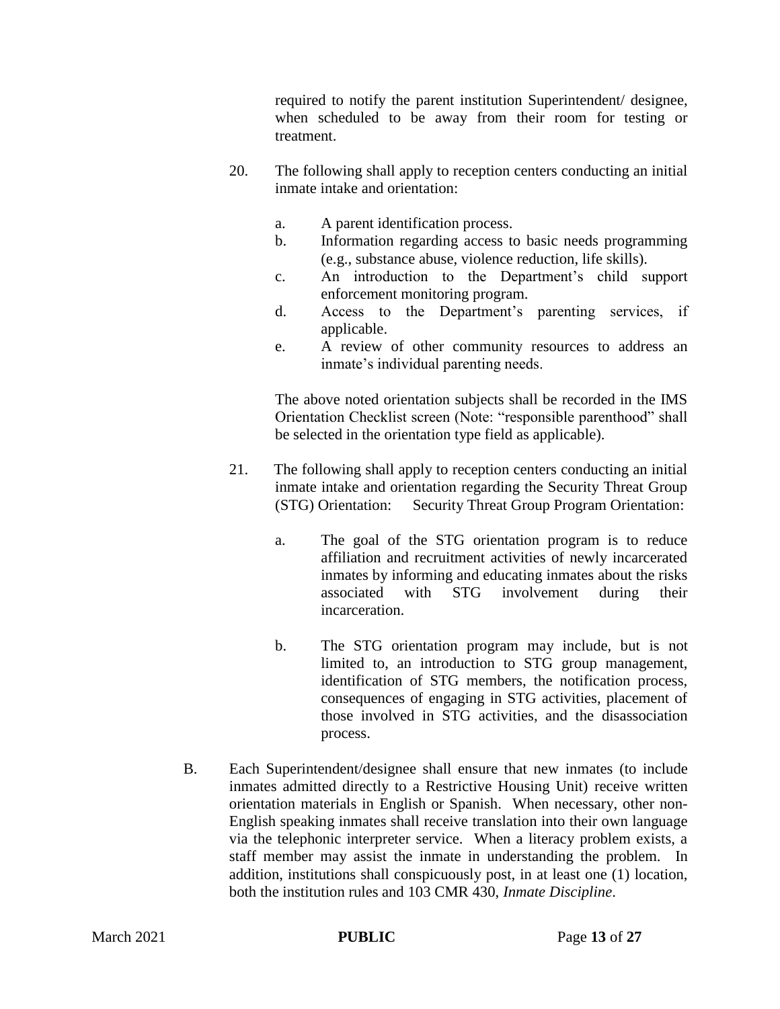required to notify the parent institution Superintendent/ designee, when scheduled to be away from their room for testing or treatment.

- 20. The following shall apply to reception centers conducting an initial inmate intake and orientation:
	- a. A parent identification process.
	- b. Information regarding access to basic needs programming (e.g., substance abuse, violence reduction, life skills).
	- c. An introduction to the Department's child support enforcement monitoring program.
	- d. Access to the Department's parenting services, if applicable.
	- e. A review of other community resources to address an inmate's individual parenting needs.

The above noted orientation subjects shall be recorded in the IMS Orientation Checklist screen (Note: "responsible parenthood" shall be selected in the orientation type field as applicable).

- 21. The following shall apply to reception centers conducting an initial inmate intake and orientation regarding the Security Threat Group (STG) Orientation: Security Threat Group Program Orientation:
	- a. The goal of the STG orientation program is to reduce affiliation and recruitment activities of newly incarcerated inmates by informing and educating inmates about the risks associated with STG involvement during their incarceration.
	- b. The STG orientation program may include, but is not limited to, an introduction to STG group management, identification of STG members, the notification process, consequences of engaging in STG activities, placement of those involved in STG activities, and the disassociation process.
- B. Each Superintendent/designee shall ensure that new inmates (to include inmates admitted directly to a Restrictive Housing Unit) receive written orientation materials in English or Spanish. When necessary, other non-English speaking inmates shall receive translation into their own language via the telephonic interpreter service. When a literacy problem exists, a staff member may assist the inmate in understanding the problem. In addition, institutions shall conspicuously post, in at least one (1) location, both the institution rules and 103 CMR 430, *Inmate Discipline*.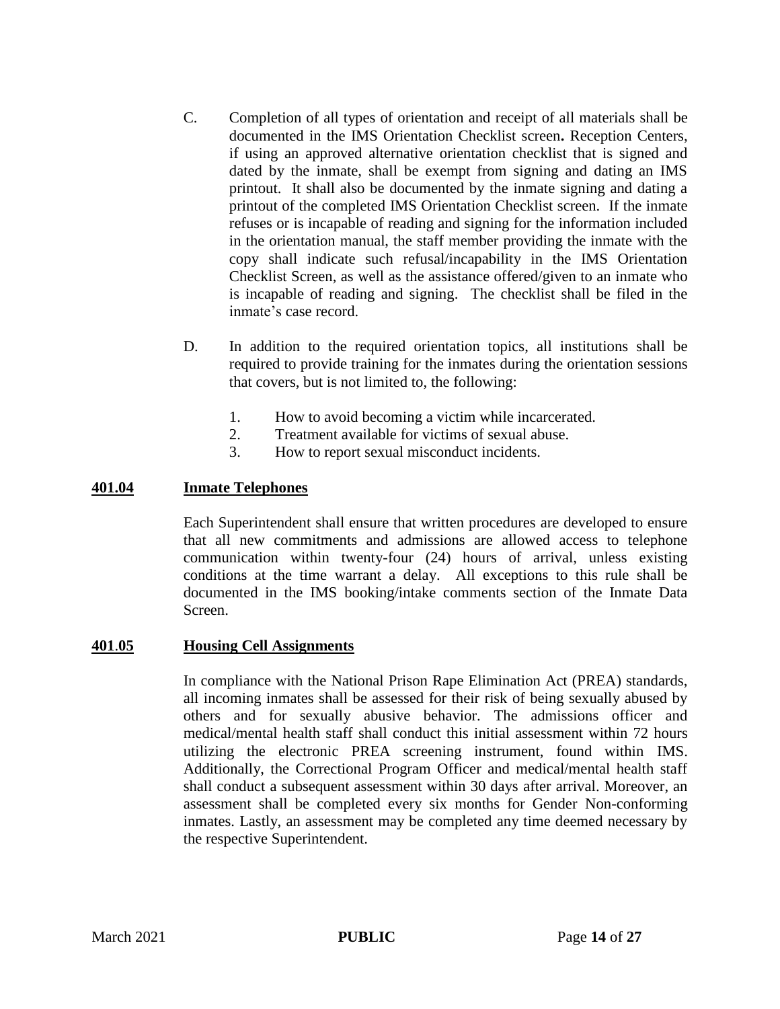- C. Completion of all types of orientation and receipt of all materials shall be documented in the IMS Orientation Checklist screen**.** Reception Centers, if using an approved alternative orientation checklist that is signed and dated by the inmate, shall be exempt from signing and dating an IMS printout. It shall also be documented by the inmate signing and dating a printout of the completed IMS Orientation Checklist screen. If the inmate refuses or is incapable of reading and signing for the information included in the orientation manual, the staff member providing the inmate with the copy shall indicate such refusal/incapability in the IMS Orientation Checklist Screen, as well as the assistance offered/given to an inmate who is incapable of reading and signing. The checklist shall be filed in the inmate's case record.
- D. In addition to the required orientation topics, all institutions shall be required to provide training for the inmates during the orientation sessions that covers, but is not limited to, the following:
	- 1. How to avoid becoming a victim while incarcerated.
	- 2. Treatment available for victims of sexual abuse.
	- 3. How to report sexual misconduct incidents.

## **401.04 Inmate Telephones**

Each Superintendent shall ensure that written procedures are developed to ensure that all new commitments and admissions are allowed access to telephone communication within twenty-four (24) hours of arrival, unless existing conditions at the time warrant a delay. All exceptions to this rule shall be documented in the IMS booking/intake comments section of the Inmate Data Screen.

#### **401**.**05 Housing Cell Assignments**

In compliance with the National Prison Rape Elimination Act (PREA) standards, all incoming inmates shall be assessed for their risk of being sexually abused by others and for sexually abusive behavior. The admissions officer and medical/mental health staff shall conduct this initial assessment within 72 hours utilizing the electronic PREA screening instrument, found within IMS. Additionally, the Correctional Program Officer and medical/mental health staff shall conduct a subsequent assessment within 30 days after arrival. Moreover, an assessment shall be completed every six months for Gender Non-conforming inmates. Lastly, an assessment may be completed any time deemed necessary by the respective Superintendent.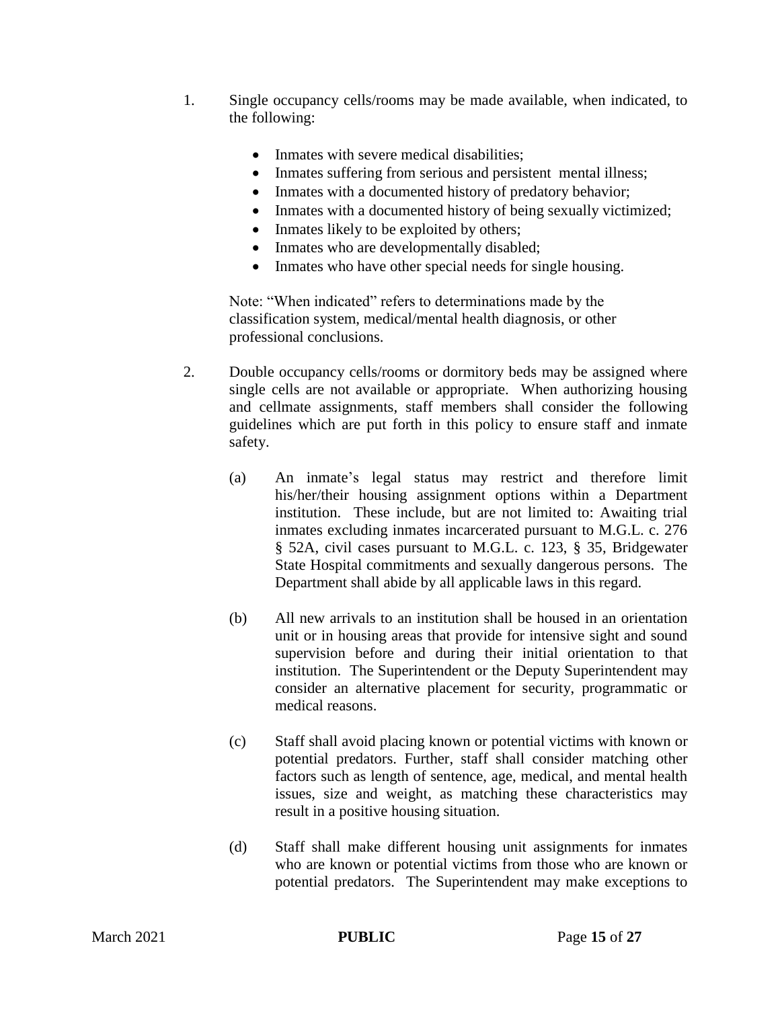- 1. Single occupancy cells/rooms may be made available, when indicated, to the following:
	- Inmates with severe medical disabilities;
	- Inmates suffering from serious and persistent mental illness;
	- Inmates with a documented history of predatory behavior;
	- Inmates with a documented history of being sexually victimized;
	- Inmates likely to be exploited by others;
	- Inmates who are developmentally disabled;
	- Inmates who have other special needs for single housing.

Note: "When indicated" refers to determinations made by the classification system, medical/mental health diagnosis, or other professional conclusions.

- 2. Double occupancy cells/rooms or dormitory beds may be assigned where single cells are not available or appropriate. When authorizing housing and cellmate assignments, staff members shall consider the following guidelines which are put forth in this policy to ensure staff and inmate safety.
	- (a) An inmate's legal status may restrict and therefore limit his/her/their housing assignment options within a Department institution. These include, but are not limited to: Awaiting trial inmates excluding inmates incarcerated pursuant to M.G.L. c. 276 § 52A, civil cases pursuant to M.G.L. c. 123, § 35, Bridgewater State Hospital commitments and sexually dangerous persons. The Department shall abide by all applicable laws in this regard.
	- (b) All new arrivals to an institution shall be housed in an orientation unit or in housing areas that provide for intensive sight and sound supervision before and during their initial orientation to that institution. The Superintendent or the Deputy Superintendent may consider an alternative placement for security, programmatic or medical reasons.
	- (c) Staff shall avoid placing known or potential victims with known or potential predators. Further, staff shall consider matching other factors such as length of sentence, age, medical, and mental health issues, size and weight, as matching these characteristics may result in a positive housing situation.
	- (d) Staff shall make different housing unit assignments for inmates who are known or potential victims from those who are known or potential predators. The Superintendent may make exceptions to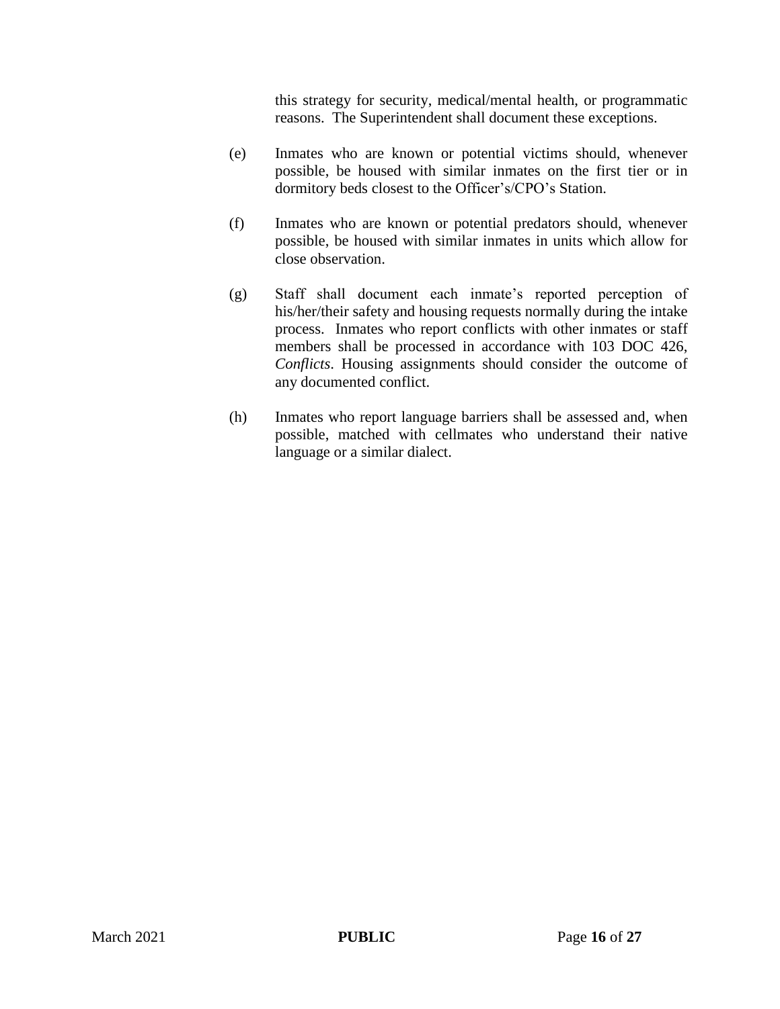this strategy for security, medical/mental health, or programmatic reasons. The Superintendent shall document these exceptions.

- (e) Inmates who are known or potential victims should, whenever possible, be housed with similar inmates on the first tier or in dormitory beds closest to the Officer's/CPO's Station.
- (f) Inmates who are known or potential predators should, whenever possible, be housed with similar inmates in units which allow for close observation.
- (g) Staff shall document each inmate's reported perception of his/her/their safety and housing requests normally during the intake process. Inmates who report conflicts with other inmates or staff members shall be processed in accordance with 103 DOC 426, *Conflicts*. Housing assignments should consider the outcome of any documented conflict.
- (h) Inmates who report language barriers shall be assessed and, when possible, matched with cellmates who understand their native language or a similar dialect.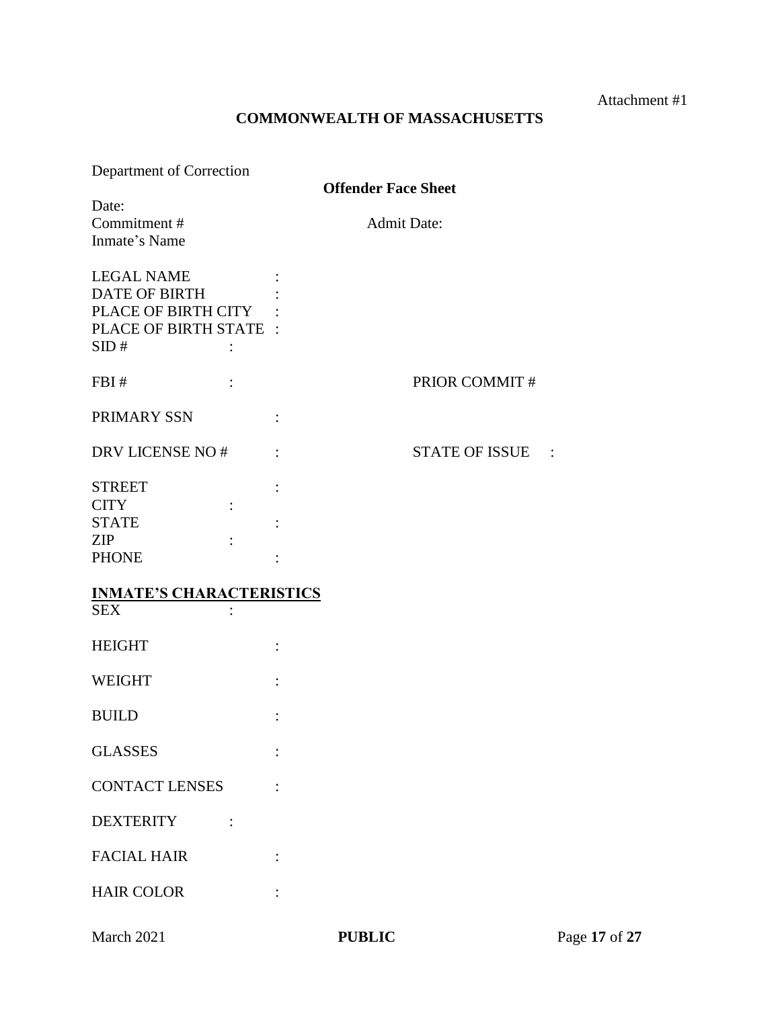Attachment #1

## **COMMONWEALTH OF MASSACHUSETTS**

| Department of Correction |  |
|--------------------------|--|
|                          |  |

**Offender Face Sheet**

| Date:<br>Commitment#<br>Inmate's Name                                                                                | <b>Admit Date:</b>    |
|----------------------------------------------------------------------------------------------------------------------|-----------------------|
| <b>LEGAL NAME</b><br><b>DATE OF BIRTH</b><br>PLACE OF BIRTH CITY<br>PLACE OF BIRTH STATE :<br>SID#<br>$\ddot{\cdot}$ |                       |
| FBI#                                                                                                                 | PRIOR COMMIT#         |
| PRIMARY SSN                                                                                                          |                       |
| DRV LICENSE NO#                                                                                                      | <b>STATE OF ISSUE</b> |
| <b>STREET</b><br><b>CITY</b><br>$\ddot{\cdot}$<br><b>STATE</b><br>ZIP<br><b>PHONE</b>                                |                       |
| <b>INMATE'S CHARACTERISTICS</b><br><b>SEX</b>                                                                        |                       |
| <b>HEIGHT</b>                                                                                                        |                       |
| <b>WEIGHT</b>                                                                                                        |                       |
| <b>BUILD</b>                                                                                                         |                       |
| <b>GLASSES</b>                                                                                                       |                       |
| <b>CONTACT LENSES</b>                                                                                                |                       |
| <b>DEXTERITY</b>                                                                                                     |                       |
| <b>FACIAL HAIR</b>                                                                                                   |                       |
| <b>HAIR COLOR</b>                                                                                                    |                       |
|                                                                                                                      |                       |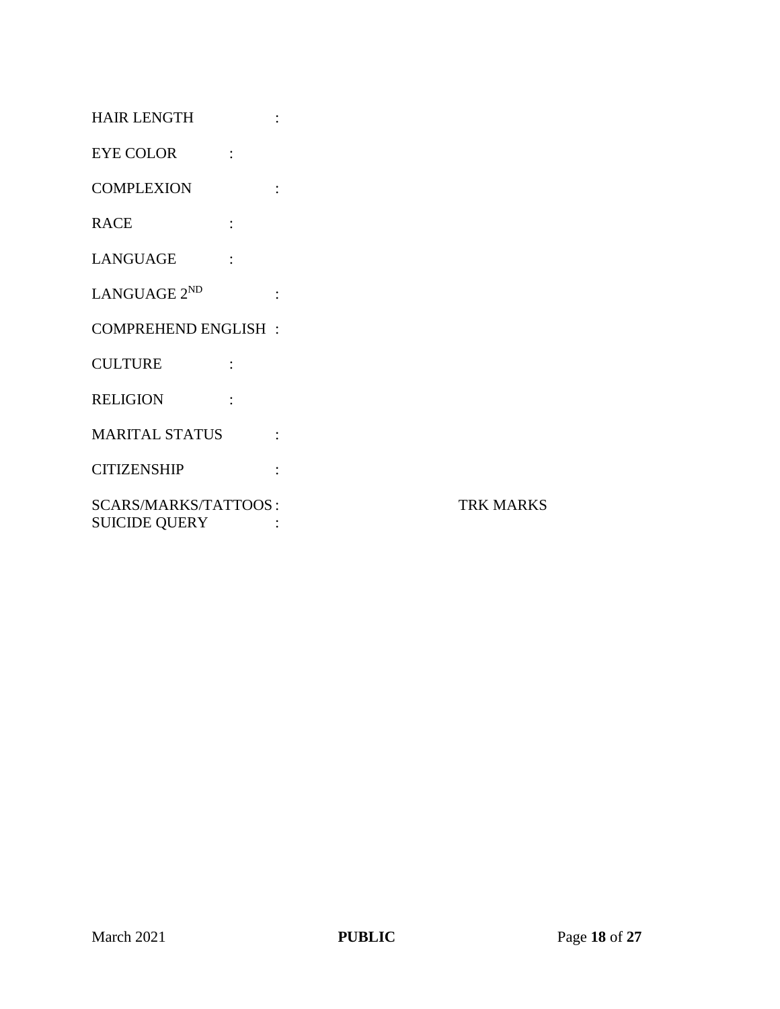| <b>HAIR LENGTH</b>                           | $\ddot{\cdot}$ |                  |
|----------------------------------------------|----------------|------------------|
| <b>EYE COLOR</b><br>$\ddot{\cdot}$           |                |                  |
| <b>COMPLEXION</b>                            | $\ddot{\cdot}$ |                  |
| <b>RACE</b>                                  |                |                  |
| <b>LANGUAGE</b>                              |                |                  |
| LANGUAGE 2 <sup>ND</sup>                     | $\ddot{\cdot}$ |                  |
| <b>COMPREHEND ENGLISH:</b>                   |                |                  |
| <b>CULTURE</b>                               |                |                  |
| <b>RELIGION</b>                              |                |                  |
| <b>MARITAL STATUS</b>                        | $\ddot{\cdot}$ |                  |
| <b>CITIZENSHIP</b>                           | $\ddot{\cdot}$ |                  |
| SCARS/MARKS/TATTOOS:<br><b>SUICIDE QUERY</b> |                | <b>TRK MARKS</b> |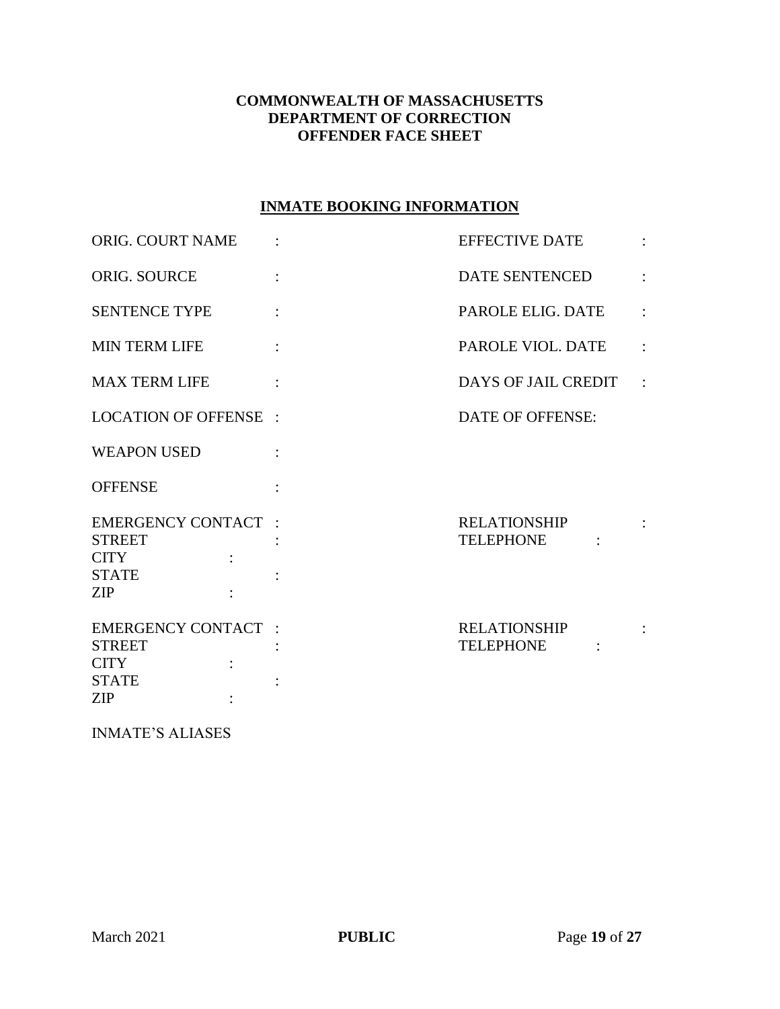## **COMMONWEALTH OF MASSACHUSETTS DEPARTMENT OF CORRECTION OFFENDER FACE SHEET**

## **INMATE BOOKING INFORMATION**

| ORIG. COURT NAME                                                                         | <b>EFFECTIVE DATE</b>                   |  |
|------------------------------------------------------------------------------------------|-----------------------------------------|--|
| ORIG. SOURCE                                                                             | DATE SENTENCED                          |  |
| <b>SENTENCE TYPE</b>                                                                     | PAROLE ELIG. DATE                       |  |
| <b>MIN TERM LIFE</b>                                                                     | PAROLE VIOL. DATE                       |  |
| <b>MAX TERM LIFE</b>                                                                     | DAYS OF JAIL CREDIT                     |  |
| <b>LOCATION OF OFFENSE :</b>                                                             | DATE OF OFFENSE:                        |  |
| <b>WEAPON USED</b>                                                                       |                                         |  |
| <b>OFFENSE</b>                                                                           |                                         |  |
| <b>EMERGENCY CONTACT :</b><br><b>STREET</b><br><b>CITY</b><br><b>STATE</b><br><b>ZIP</b> | <b>RELATIONSHIP</b><br><b>TELEPHONE</b> |  |
| <b>EMERGENCY CONTACT :</b><br><b>STREET</b><br><b>CITY</b><br><b>STATE</b><br><b>ZIP</b> | <b>RELATIONSHIP</b><br><b>TELEPHONE</b> |  |

INMATE'S ALIASES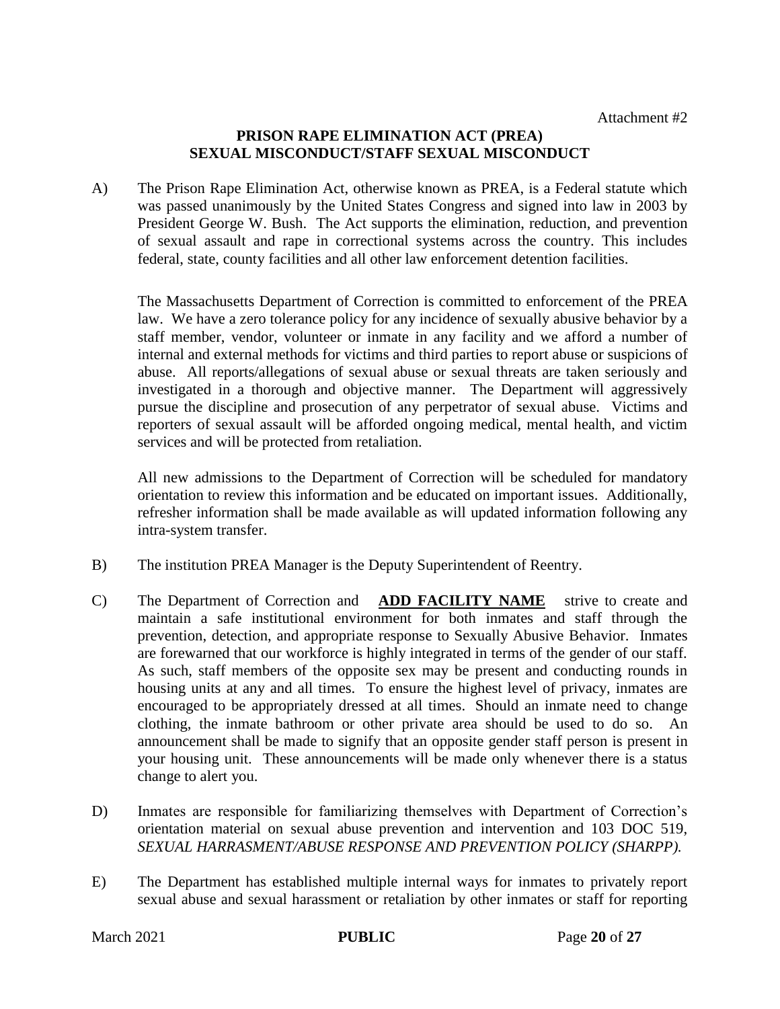#### **PRISON RAPE ELIMINATION ACT (PREA) SEXUAL MISCONDUCT/STAFF SEXUAL MISCONDUCT**

A) The Prison Rape Elimination Act, otherwise known as PREA, is a Federal statute which was passed unanimously by the United States Congress and signed into law in 2003 by President George W. Bush. The Act supports the elimination, reduction, and prevention of sexual assault and rape in correctional systems across the country. This includes federal, state, county facilities and all other law enforcement detention facilities.

The Massachusetts Department of Correction is committed to enforcement of the PREA law. We have a zero tolerance policy for any incidence of sexually abusive behavior by a staff member, vendor, volunteer or inmate in any facility and we afford a number of internal and external methods for victims and third parties to report abuse or suspicions of abuse. All reports/allegations of sexual abuse or sexual threats are taken seriously and investigated in a thorough and objective manner. The Department will aggressively pursue the discipline and prosecution of any perpetrator of sexual abuse. Victims and reporters of sexual assault will be afforded ongoing medical, mental health, and victim services and will be protected from retaliation.

All new admissions to the Department of Correction will be scheduled for mandatory orientation to review this information and be educated on important issues. Additionally, refresher information shall be made available as will updated information following any intra-system transfer.

- B) The institution PREA Manager is the Deputy Superintendent of Reentry.
- C) The Department of Correction and **ADD FACILITY NAME** strive to create and maintain a safe institutional environment for both inmates and staff through the prevention, detection, and appropriate response to Sexually Abusive Behavior. Inmates are forewarned that our workforce is highly integrated in terms of the gender of our staff. As such, staff members of the opposite sex may be present and conducting rounds in housing units at any and all times. To ensure the highest level of privacy, inmates are encouraged to be appropriately dressed at all times. Should an inmate need to change clothing, the inmate bathroom or other private area should be used to do so.An announcement shall be made to signify that an opposite gender staff person is present in your housing unit. These announcements will be made only whenever there is a status change to alert you.
- D) Inmates are responsible for familiarizing themselves with Department of Correction's orientation material on sexual abuse prevention and intervention and 103 DOC 519, *SEXUAL HARRASMENT/ABUSE RESPONSE AND PREVENTION POLICY (SHARPP).*
- E) The Department has established multiple internal ways for inmates to privately report sexual abuse and sexual harassment or retaliation by other inmates or staff for reporting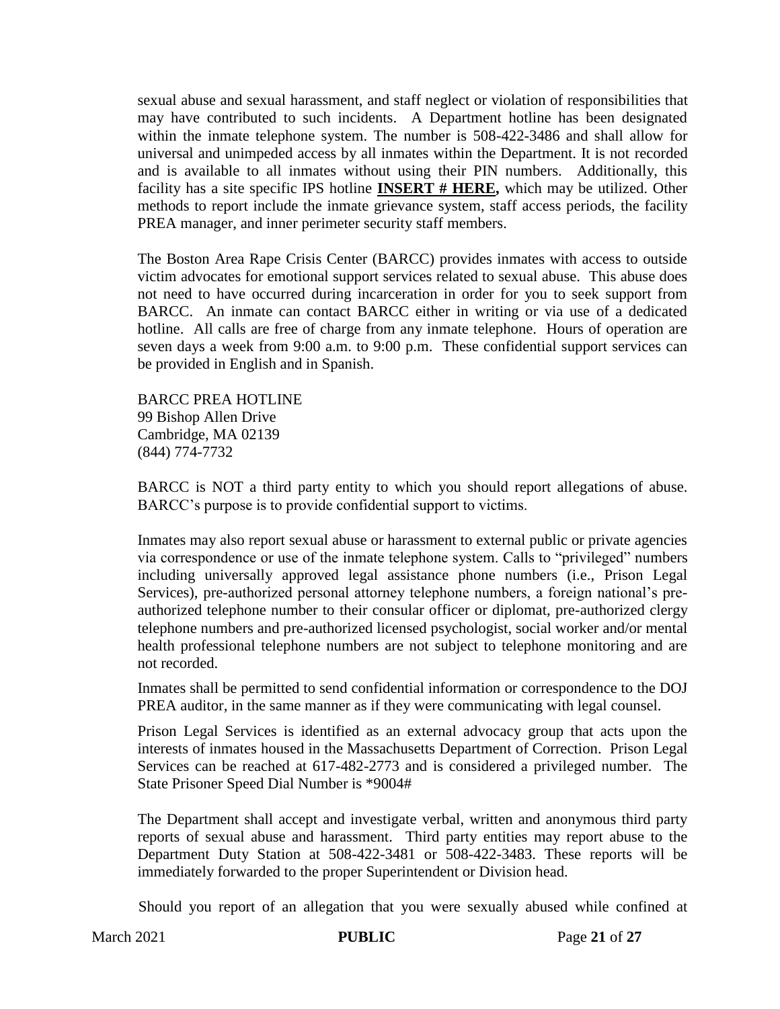sexual abuse and sexual harassment, and staff neglect or violation of responsibilities that may have contributed to such incidents. A Department hotline has been designated within the inmate telephone system. The number is 508-422-3486 and shall allow for universal and unimpeded access by all inmates within the Department. It is not recorded and is available to all inmates without using their PIN numbers. Additionally, this facility has a site specific IPS hotline **INSERT # HERE,** which may be utilized. Other methods to report include the inmate grievance system, staff access periods, the facility PREA manager, and inner perimeter security staff members.

The Boston Area Rape Crisis Center (BARCC) provides inmates with access to outside victim advocates for emotional support services related to sexual abuse. This abuse does not need to have occurred during incarceration in order for you to seek support from BARCC. An inmate can contact BARCC either in writing or via use of a dedicated hotline. All calls are free of charge from any inmate telephone. Hours of operation are seven days a week from 9:00 a.m. to 9:00 p.m. These confidential support services can be provided in English and in Spanish.

BARCC PREA HOTLINE 99 Bishop Allen Drive Cambridge, MA 02139 (844) 774-7732

BARCC is NOT a third party entity to which you should report allegations of abuse. BARCC's purpose is to provide confidential support to victims.

Inmates may also report sexual abuse or harassment to external public or private agencies via correspondence or use of the inmate telephone system. Calls to "privileged" numbers including universally approved legal assistance phone numbers (i.e., Prison Legal Services), pre-authorized personal attorney telephone numbers, a foreign national's preauthorized telephone number to their consular officer or diplomat, pre-authorized clergy telephone numbers and pre-authorized licensed psychologist, social worker and/or mental health professional telephone numbers are not subject to telephone monitoring and are not recorded.

Inmates shall be permitted to send confidential information or correspondence to the DOJ PREA auditor, in the same manner as if they were communicating with legal counsel.

Prison Legal Services is identified as an external advocacy group that acts upon the interests of inmates housed in the Massachusetts Department of Correction. Prison Legal Services can be reached at 617-482-2773 and is considered a privileged number. The State Prisoner Speed Dial Number is \*9004#

The Department shall accept and investigate verbal, written and anonymous third party reports of sexual abuse and harassment. Third party entities may report abuse to the Department Duty Station at 508-422-3481 or 508-422-3483. These reports will be immediately forwarded to the proper Superintendent or Division head.

Should you report of an allegation that you were sexually abused while confined at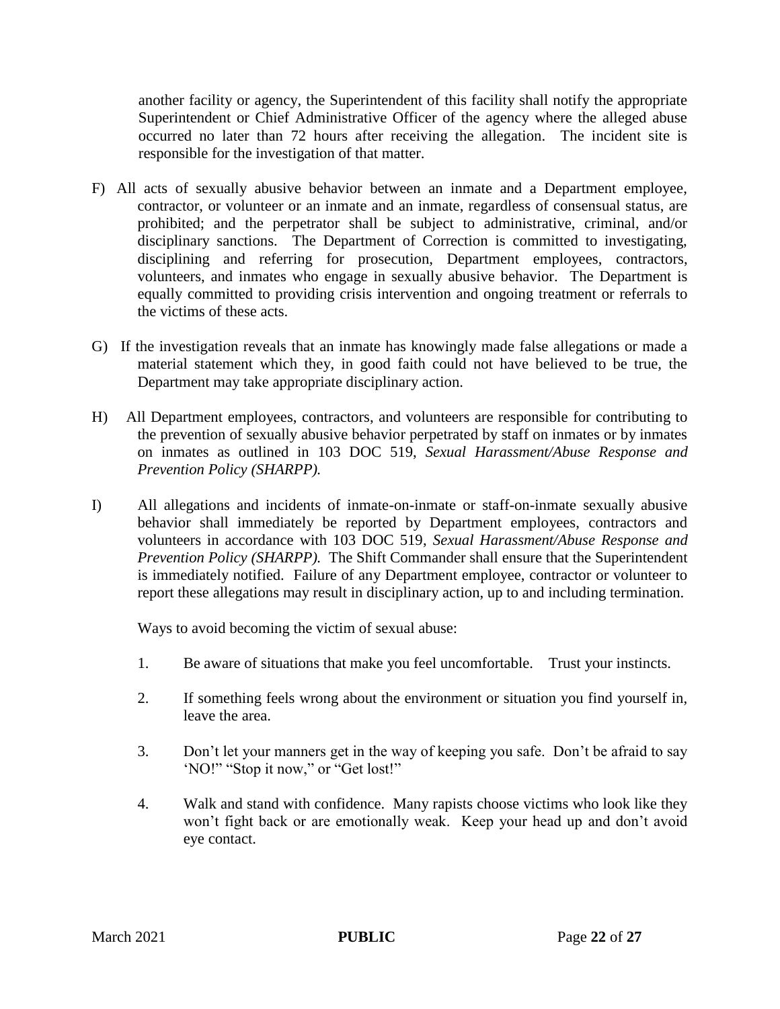another facility or agency, the Superintendent of this facility shall notify the appropriate Superintendent or Chief Administrative Officer of the agency where the alleged abuse occurred no later than 72 hours after receiving the allegation. The incident site is responsible for the investigation of that matter.

- F) All acts of sexually abusive behavior between an inmate and a Department employee, contractor, or volunteer or an inmate and an inmate, regardless of consensual status, are prohibited; and the perpetrator shall be subject to administrative, criminal, and/or disciplinary sanctions. The Department of Correction is committed to investigating, disciplining and referring for prosecution, Department employees, contractors, volunteers, and inmates who engage in sexually abusive behavior. The Department is equally committed to providing crisis intervention and ongoing treatment or referrals to the victims of these acts.
- G) If the investigation reveals that an inmate has knowingly made false allegations or made a material statement which they, in good faith could not have believed to be true, the Department may take appropriate disciplinary action.
- H) All Department employees, contractors, and volunteers are responsible for contributing to the prevention of sexually abusive behavior perpetrated by staff on inmates or by inmates on inmates as outlined in 103 DOC 519, *Sexual Harassment/Abuse Response and Prevention Policy (SHARPP).*
- I) All allegations and incidents of inmate-on-inmate or staff-on-inmate sexually abusive behavior shall immediately be reported by Department employees, contractors and volunteers in accordance with 103 DOC 519, *Sexual Harassment/Abuse Response and Prevention Policy (SHARPP).* The Shift Commander shall ensure that the Superintendent is immediately notified. Failure of any Department employee, contractor or volunteer to report these allegations may result in disciplinary action, up to and including termination.

Ways to avoid becoming the victim of sexual abuse:

- 1. Be aware of situations that make you feel uncomfortable. Trust your instincts.
- 2. If something feels wrong about the environment or situation you find yourself in, leave the area.
- 3. Don't let your manners get in the way of keeping you safe. Don't be afraid to say 'NO!" "Stop it now," or "Get lost!"
- 4. Walk and stand with confidence. Many rapists choose victims who look like they won't fight back or are emotionally weak. Keep your head up and don't avoid eye contact.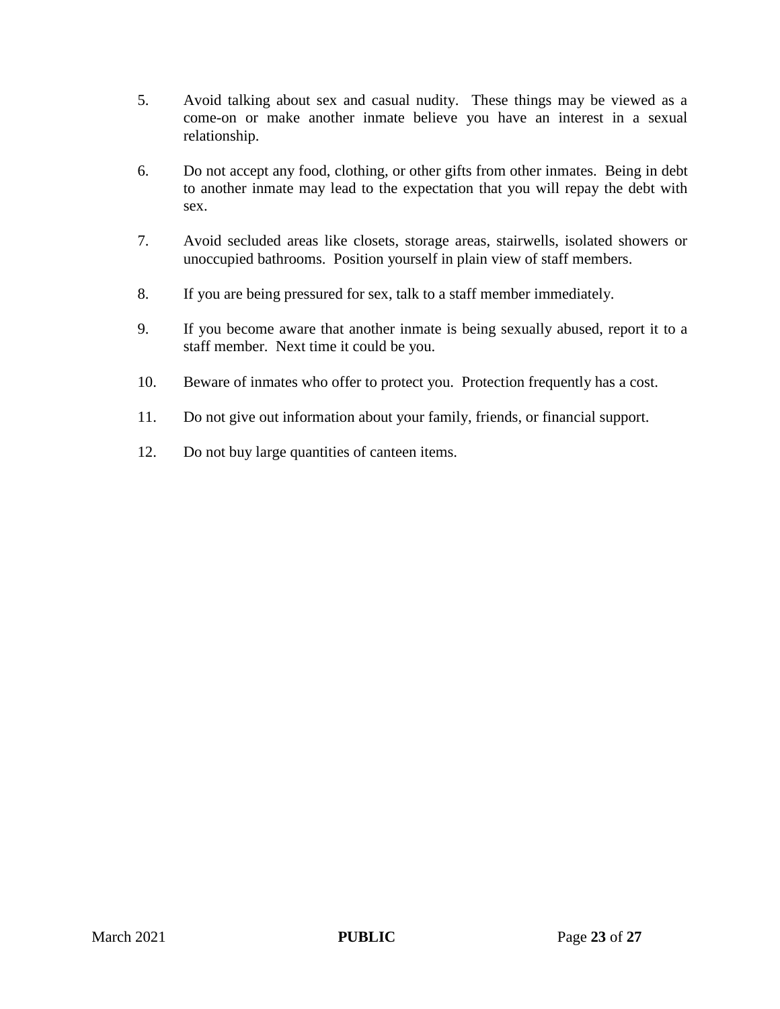- 5. Avoid talking about sex and casual nudity. These things may be viewed as a come-on or make another inmate believe you have an interest in a sexual relationship.
- 6. Do not accept any food, clothing, or other gifts from other inmates. Being in debt to another inmate may lead to the expectation that you will repay the debt with sex.
- 7. Avoid secluded areas like closets, storage areas, stairwells, isolated showers or unoccupied bathrooms. Position yourself in plain view of staff members.
- 8. If you are being pressured for sex, talk to a staff member immediately.
- 9. If you become aware that another inmate is being sexually abused, report it to a staff member. Next time it could be you.
- 10. Beware of inmates who offer to protect you. Protection frequently has a cost.
- 11. Do not give out information about your family, friends, or financial support.
- 12. Do not buy large quantities of canteen items.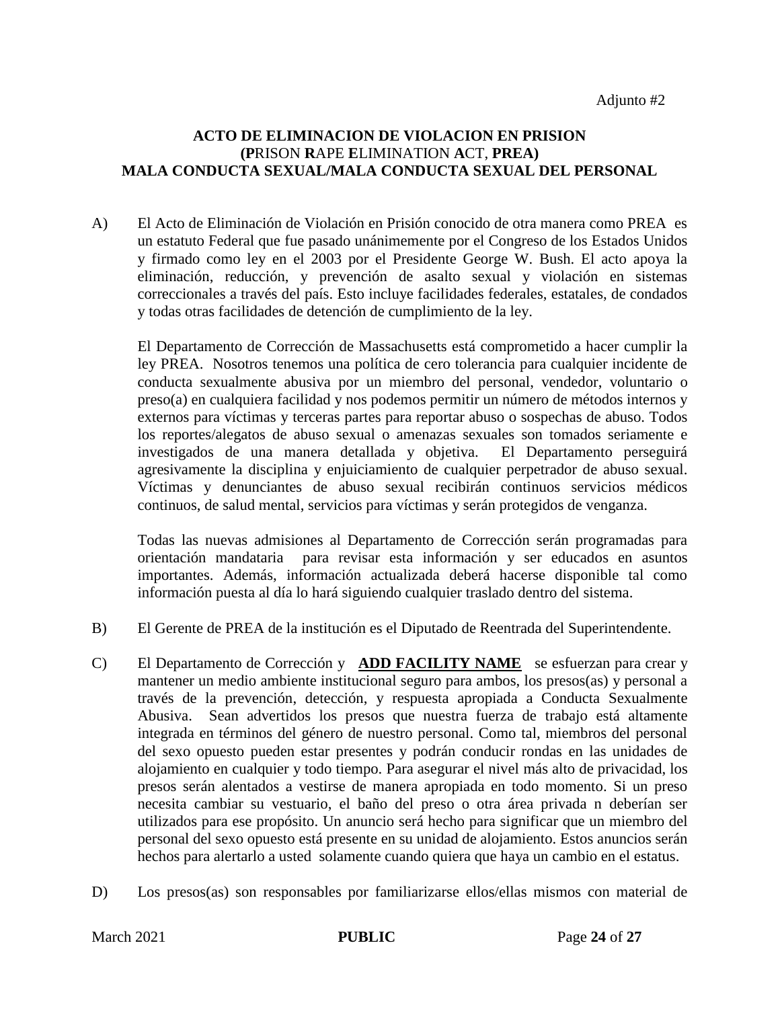## **ACTO DE ELIMINACION DE VIOLACION EN PRISION (P**RISON **R**APE **E**LIMINATION **A**CT, **PREA) MALA CONDUCTA SEXUAL/MALA CONDUCTA SEXUAL DEL PERSONAL**

A) El Acto de Eliminación de Violación en Prisión conocido de otra manera como PREA es un estatuto Federal que fue pasado unánimemente por el Congreso de los Estados Unidos y firmado como ley en el 2003 por el Presidente George W. Bush. El acto apoya la eliminación, reducción, y prevención de asalto sexual y violación en sistemas correccionales a través del país. Esto incluye facilidades federales, estatales, de condados y todas otras facilidades de detención de cumplimiento de la ley.

El Departamento de Corrección de Massachusetts está comprometido a hacer cumplir la ley PREA. Nosotros tenemos una política de cero tolerancia para cualquier incidente de conducta sexualmente abusiva por un miembro del personal, vendedor, voluntario o preso(a) en cualquiera facilidad y nos podemos permitir un número de métodos internos y externos para víctimas y terceras partes para reportar abuso o sospechas de abuso. Todos los reportes/alegatos de abuso sexual o amenazas sexuales son tomados seriamente e investigados de una manera detallada y objetiva. El Departamento perseguirá agresivamente la disciplina y enjuiciamiento de cualquier perpetrador de abuso sexual. Víctimas y denunciantes de abuso sexual recibirán continuos servicios médicos continuos, de salud mental, servicios para víctimas y serán protegidos de venganza.

Todas las nuevas admisiones al Departamento de Corrección serán programadas para orientación mandataria para revisar esta información y ser educados en asuntos importantes. Además, información actualizada deberá hacerse disponible tal como información puesta al día lo hará siguiendo cualquier traslado dentro del sistema.

- B) El Gerente de PREA de la institución es el Diputado de Reentrada del Superintendente.
- C) El Departamento de Corrección y **ADD FACILITY NAME** se esfuerzan para crear y mantener un medio ambiente institucional seguro para ambos, los presos(as) y personal a través de la prevención, detección, y respuesta apropiada a Conducta Sexualmente Abusiva. Sean advertidos los presos que nuestra fuerza de trabajo está altamente integrada en términos del género de nuestro personal. Como tal, miembros del personal del sexo opuesto pueden estar presentes y podrán conducir rondas en las unidades de alojamiento en cualquier y todo tiempo. Para asegurar el nivel más alto de privacidad, los presos serán alentados a vestirse de manera apropiada en todo momento. Si un preso necesita cambiar su vestuario, el baño del preso o otra área privada n deberían ser utilizados para ese propósito. Un anuncio será hecho para significar que un miembro del personal del sexo opuesto está presente en su unidad de alojamiento. Estos anuncios serán hechos para alertarlo a usted solamente cuando quiera que haya un cambio en el estatus.
- D) Los presos(as) son responsables por familiarizarse ellos/ellas mismos con material de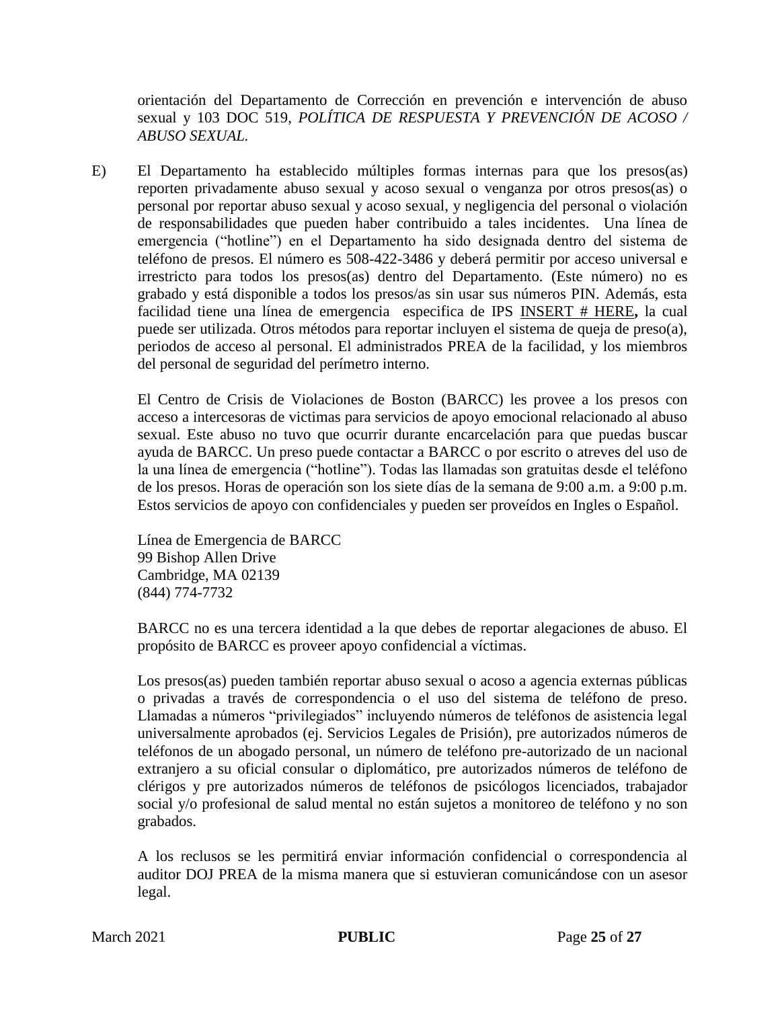orientación del Departamento de Corrección en prevención e intervención de abuso sexual y 103 DOC 519, *POLÍTICA DE RESPUESTA Y PREVENCIÓN DE ACOSO / ABUSO SEXUAL.*

E) El Departamento ha establecido múltiples formas internas para que los presos(as) reporten privadamente abuso sexual y acoso sexual o venganza por otros presos(as) o personal por reportar abuso sexual y acoso sexual, y negligencia del personal o violación de responsabilidades que pueden haber contribuido a tales incidentes. Una línea de emergencia ("hotline") en el Departamento ha sido designada dentro del sistema de teléfono de presos. El número es 508-422-3486 y deberá permitir por acceso universal e irrestricto para todos los presos(as) dentro del Departamento. (Este número) no es grabado y está disponible a todos los presos/as sin usar sus números PIN. Además, esta facilidad tiene una línea de emergencia especifica de IPS INSERT # HERE**,** la cual puede ser utilizada. Otros métodos para reportar incluyen el sistema de queja de preso(a), periodos de acceso al personal. El administrados PREA de la facilidad, y los miembros del personal de seguridad del perímetro interno.

El Centro de Crisis de Violaciones de Boston (BARCC) les provee a los presos con acceso a intercesoras de victimas para servicios de apoyo emocional relacionado al abuso sexual. Este abuso no tuvo que ocurrir durante encarcelación para que puedas buscar ayuda de BARCC. Un preso puede contactar a BARCC o por escrito o atreves del uso de la una línea de emergencia ("hotline"). Todas las llamadas son gratuitas desde el teléfono de los presos. Horas de operación son los siete días de la semana de 9:00 a.m. a 9:00 p.m. Estos servicios de apoyo con confidenciales y pueden ser proveídos en Ingles o Español.

Línea de Emergencia de BARCC 99 Bishop Allen Drive Cambridge, MA 02139 (844) 774-7732

BARCC no es una tercera identidad a la que debes de reportar alegaciones de abuso. El propósito de BARCC es proveer apoyo confidencial a víctimas.

Los presos(as) pueden también reportar abuso sexual o acoso a agencia externas públicas o privadas a través de correspondencia o el uso del sistema de teléfono de preso. Llamadas a números "privilegiados" incluyendo números de teléfonos de asistencia legal universalmente aprobados (ej. Servicios Legales de Prisión), pre autorizados números de teléfonos de un abogado personal, un número de teléfono pre-autorizado de un nacional extranjero a su oficial consular o diplomático, pre autorizados números de teléfono de clérigos y pre autorizados números de teléfonos de psicólogos licenciados, trabajador social y/o profesional de salud mental no están sujetos a monitoreo de teléfono y no son grabados.

A los reclusos se les permitirá enviar información confidencial o correspondencia al auditor DOJ PREA de la misma manera que si estuvieran comunicándose con un asesor legal.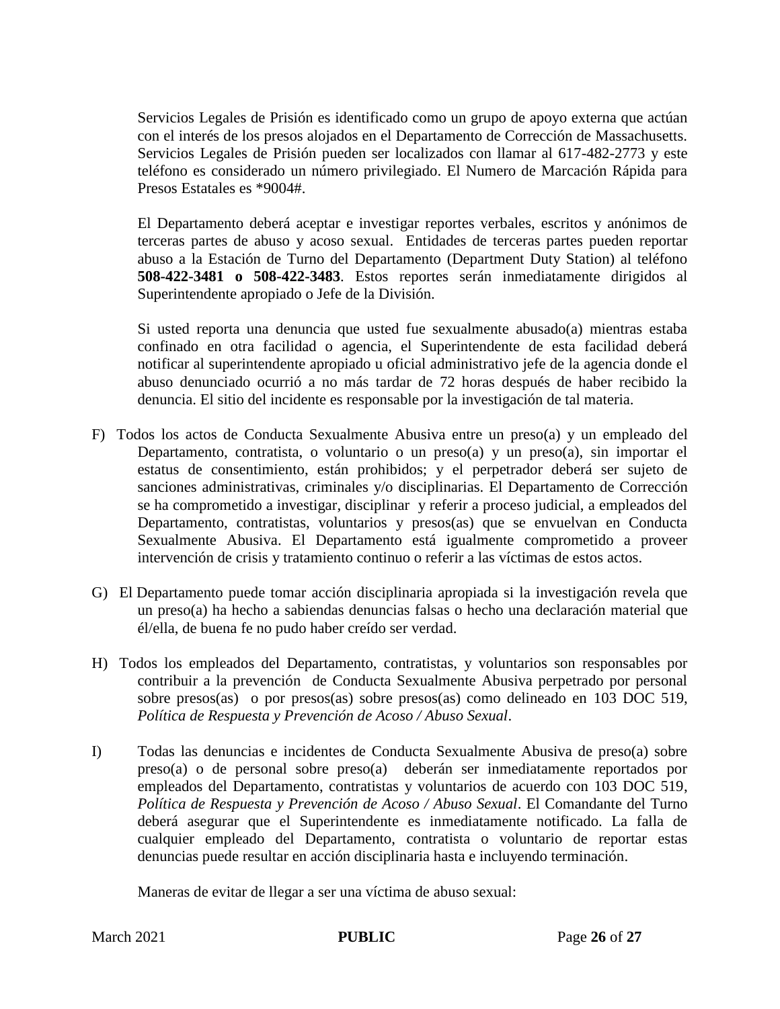Servicios Legales de Prisión es identificado como un grupo de apoyo externa que actúan con el interés de los presos alojados en el Departamento de Corrección de Massachusetts. Servicios Legales de Prisión pueden ser localizados con llamar al 617-482-2773 y este teléfono es considerado un número privilegiado. El Numero de Marcación Rápida para Presos Estatales es \*9004#.

El Departamento deberá aceptar e investigar reportes verbales, escritos y anónimos de terceras partes de abuso y acoso sexual. Entidades de terceras partes pueden reportar abuso a la Estación de Turno del Departamento (Department Duty Station) al teléfono **508-422-3481 o 508-422-3483**. Estos reportes serán inmediatamente dirigidos al Superintendente apropiado o Jefe de la División.

Si usted reporta una denuncia que usted fue sexualmente abusado(a) mientras estaba confinado en otra facilidad o agencia, el Superintendente de esta facilidad deberá notificar al superintendente apropiado u oficial administrativo jefe de la agencia donde el abuso denunciado ocurrió a no más tardar de 72 horas después de haber recibido la denuncia. El sitio del incidente es responsable por la investigación de tal materia.

- F) Todos los actos de Conducta Sexualmente Abusiva entre un preso(a) y un empleado del Departamento, contratista, o voluntario o un preso(a) y un preso(a), sin importar el estatus de consentimiento, están prohibidos; y el perpetrador deberá ser sujeto de sanciones administrativas, criminales y/o disciplinarias. El Departamento de Corrección se ha comprometido a investigar, disciplinar y referir a proceso judicial, a empleados del Departamento, contratistas, voluntarios y presos(as) que se envuelvan en Conducta Sexualmente Abusiva. El Departamento está igualmente comprometido a proveer intervención de crisis y tratamiento continuo o referir a las víctimas de estos actos.
- G) El Departamento puede tomar acción disciplinaria apropiada si la investigación revela que un preso(a) ha hecho a sabiendas denuncias falsas o hecho una declaración material que él/ella, de buena fe no pudo haber creído ser verdad.
- H) Todos los empleados del Departamento, contratistas, y voluntarios son responsables por contribuir a la prevención de Conducta Sexualmente Abusiva perpetrado por personal sobre presos(as) o por presos(as) sobre presos(as) como delineado en 103 DOC 519, *Política de Respuesta y Prevención de Acoso / Abuso Sexual*.
- I) Todas las denuncias e incidentes de Conducta Sexualmente Abusiva de preso(a) sobre preso(a) o de personal sobre preso(a) deberán ser inmediatamente reportados por empleados del Departamento, contratistas y voluntarios de acuerdo con 103 DOC 519, *Política de Respuesta y Prevención de Acoso / Abuso Sexual*. El Comandante del Turno deberá asegurar que el Superintendente es inmediatamente notificado. La falla de cualquier empleado del Departamento, contratista o voluntario de reportar estas denuncias puede resultar en acción disciplinaria hasta e incluyendo terminación.

Maneras de evitar de llegar a ser una víctima de abuso sexual: